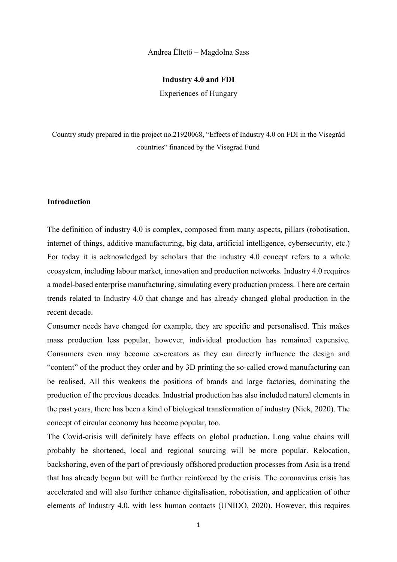# Andrea Éltető – Magdolna Sass

## **Industry 4.0 and FDI**

Experiences of Hungary

Country study prepared in the project no.21920068, "Effects of Industry 4.0 on FDI in the Visegrád countries" financed by the Visegrad Fund

## **Introduction**

The definition of industry 4.0 is complex, composed from many aspects, pillars (robotisation, internet of things, additive manufacturing, big data, artificial intelligence, cybersecurity, etc.) For today it is acknowledged by scholars that the industry 4.0 concept refers to a whole ecosystem, including labour market, innovation and production networks. Industry 4.0 requires a model-based enterprise manufacturing, simulating every production process. There are certain trends related to Industry 4.0 that change and has already changed global production in the recent decade.

Consumer needs have changed for example, they are specific and personalised. This makes mass production less popular, however, individual production has remained expensive. Consumers even may become co-creators as they can directly influence the design and "content" of the product they order and by 3D printing the so-called crowd manufacturing can be realised. All this weakens the positions of brands and large factories, dominating the production of the previous decades. Industrial production has also included natural elements in the past years, there has been a kind of biological transformation of industry (Nick, 2020). The concept of circular economy has become popular, too.

The Covid-crisis will definitely have effects on global production. Long value chains will probably be shortened, local and regional sourcing will be more popular. Relocation, backshoring, even of the part of previously offshored production processes from Asia is a trend that has already begun but will be further reinforced by the crisis. The coronavirus crisis has accelerated and will also further enhance digitalisation, robotisation, and application of other elements of Industry 4.0. with less human contacts (UNIDO, 2020). However, this requires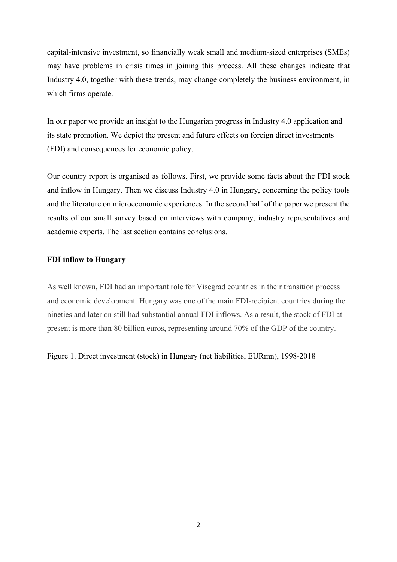capital-intensive investment, so financially weak small and medium-sized enterprises (SMEs) may have problems in crisis times in joining this process. All these changes indicate that Industry 4.0, together with these trends, may change completely the business environment, in which firms operate.

In our paper we provide an insight to the Hungarian progress in Industry 4.0 application and its state promotion. We depict the present and future effects on foreign direct investments (FDI) and consequences for economic policy.

Our country report is organised as follows. First, we provide some facts about the FDI stock and inflow in Hungary. Then we discuss Industry 4.0 in Hungary, concerning the policy tools and the literature on microeconomic experiences. In the second half of the paper we present the results of our small survey based on interviews with company, industry representatives and academic experts. The last section contains conclusions.

## **FDI inflow to Hungary**

As well known, FDI had an important role for Visegrad countries in their transition process and economic development. Hungary was one of the main FDI-recipient countries during the nineties and later on still had substantial annual FDI inflows. As a result, the stock of FDI at present is more than 80 billion euros, representing around 70% of the GDP of the country.

Figure 1. Direct investment (stock) in Hungary (net liabilities, EURmn), 1998-2018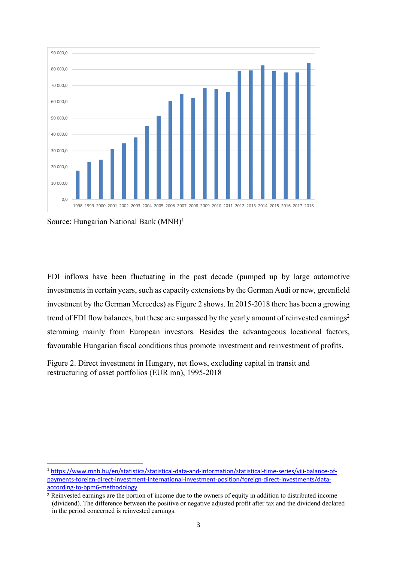

Source: Hungarian National Bank (MNB)<sup>1</sup>

FDI inflows have been fluctuating in the past decade (pumped up by large automotive investmentsin certain years, such as capacity extensions by the German Audi or new, greenfield investment by the German Mercedes) as Figure 2 shows. In 2015-2018 there has been a growing trend of FDI flow balances, but these are surpassed by the yearly amount of reinvested earnings<sup>2</sup> stemming mainly from European investors. Besides the advantageous locational factors, favourable Hungarian fiscal conditions thus promote investment and reinvestment of profits.

Figure 2. Direct investment in Hungary, net flows, excluding capital in transit and restructuring of asset portfolios (EUR mn), 1995-2018

<sup>1</sup> https://www.mnb.hu/en/statistics/statistical-data-and-information/statistical-time-series/viii-balance-ofpayments-foreign-direct-investment-international-investment-position/foreign-direct-investments/dataaccording-to-bpm6-methodology

<sup>2</sup> Reinvested earnings are the portion of income due to the owners of equity in addition to distributed income (dividend). The difference between the positive or negative adjusted profit after tax and the dividend declared in the period concerned is reinvested earnings.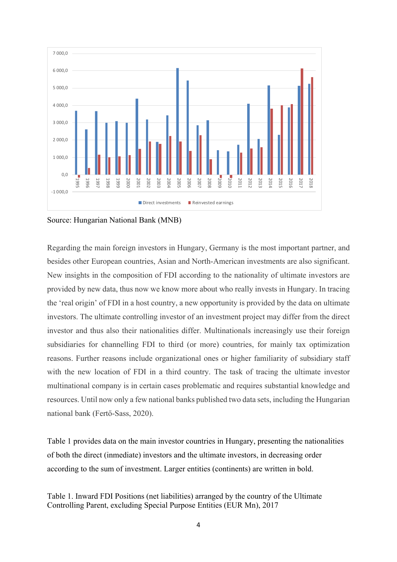

Source: Hungarian National Bank (MNB)

Regarding the main foreign investors in Hungary, Germany is the most important partner, and besides other European countries, Asian and North-American investments are also significant. New insights in the composition of FDI according to the nationality of ultimate investors are provided by new data, thus now we know more about who really invests in Hungary. In tracing the 'real origin' of FDI in a host country, a new opportunity is provided by the data on ultimate investors. The ultimate controlling investor of an investment project may differ from the direct investor and thus also their nationalities differ. Multinationals increasingly use their foreign subsidiaries for channelling FDI to third (or more) countries, for mainly tax optimization reasons. Further reasons include organizational ones or higher familiarity of subsidiary staff with the new location of FDI in a third country. The task of tracing the ultimate investor multinational company is in certain cases problematic and requires substantial knowledge and resources. Until now only a few national banks published two data sets, including the Hungarian national bank (Fertő-Sass, 2020).

Table 1 provides data on the main investor countries in Hungary, presenting the nationalities of both the direct (inmediate) investors and the ultimate investors, in decreasing order according to the sum of investment. Larger entities (continents) are written in bold.

Table 1. Inward FDI Positions (net liabilities) arranged by the country of the Ultimate Controlling Parent, excluding Special Purpose Entities (EUR Mn), 2017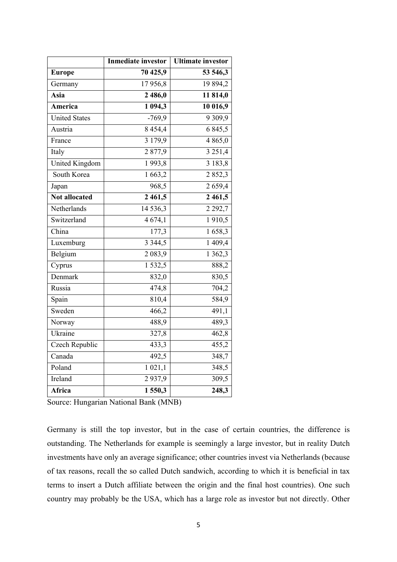|                       | <b>Inmediate investor</b> | <b>Ultimate investor</b> |
|-----------------------|---------------------------|--------------------------|
| <b>Europe</b>         | 70 425,9                  | 53 546,3                 |
| Germany               | 17956,8                   | 19 894,2                 |
| Asia                  | $\overline{2}$ 486,0      | $\overline{11814,0}$     |
| America               | 1 094,3                   | 10 016,9                 |
| <b>United States</b>  | $-769,9$                  | 9309,9                   |
| Austria               | 8 4 5 4 , 4               | 6 8 4 5 , 5              |
| France                | 3 179,9                   | 4865,0                   |
| Italy                 | 2877,9                    | 3 2 5 1,4                |
| <b>United Kingdom</b> | 1993,8                    | 3 183,8                  |
| South Korea           | 1 663,2                   | $\overline{2}852,3$      |
| Japan                 | 968,5                     | 2659,4                   |
| <b>Not allocated</b>  | 2 4 6 1, 5                | 2 4 6 1, 5               |
| Netherlands           | 14 5 36, 3                | 2 2 9 2, 7               |
| Switzerland           | 4 674,1                   | 1910,5                   |
| China                 | 177,3                     | 1658,3                   |
| Luxemburg             | 3 3 4 4 , 5               | 1 409,4                  |
| Belgium               | $\overline{2}$ 083,9      | $\overline{1}$ 362,3     |
| Cyprus                | 1 532,5                   | 888,2                    |
| Denmark               | 832,0                     | 830,5                    |
| Russia                | 474,8                     | 704,2                    |
| Spain                 | 810,4                     | 584,9                    |
| Sweden                | 466,2                     | 491,1                    |
| Norway                | 488,9                     | 489,3                    |
| Ukraine               | 327,8                     | 462,8                    |
| Czech Republic        | 433,3                     | 455,2                    |
| Canada                | 492,5                     | 348,7                    |
| Poland                | 1 021,1                   | 348,5                    |
| Ireland               | 2937,9                    | 309,5                    |
| Africa                | 1550,3                    | 248,3                    |

Source: Hungarian National Bank (MNB)

Germany is still the top investor, but in the case of certain countries, the difference is outstanding. The Netherlands for example is seemingly a large investor, but in reality Dutch investments have only an average significance; other countries invest via Netherlands (because of tax reasons, recall the so called Dutch sandwich, according to which it is beneficial in tax terms to insert a Dutch affiliate between the origin and the final host countries). One such country may probably be the USA, which has a large role as investor but not directly. Other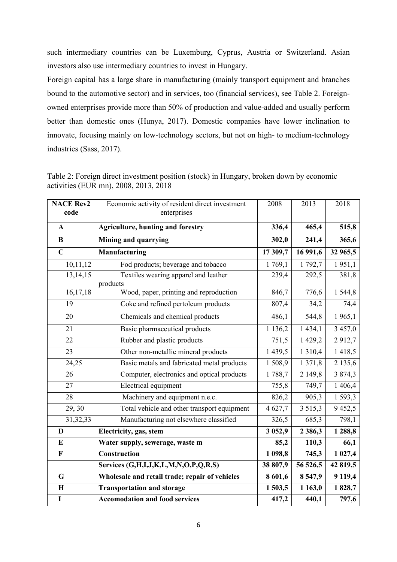such intermediary countries can be Luxemburg, Cyprus, Austria or Switzerland. Asian investors also use intermediary countries to invest in Hungary.

Foreign capital has a large share in manufacturing (mainly transport equipment and branches bound to the automotive sector) and in services, too (financial services), see Table 2. Foreignowned enterprises provide more than 50% of production and value-added and usually perform better than domestic ones (Hunya, 2017). Domestic companies have lower inclination to innovate, focusing mainly on low-technology sectors, but not on high- to medium-technology industries (Sass, 2017).

| Table 2: Foreign direct investment position (stock) in Hungary, broken down by economic |  |
|-----------------------------------------------------------------------------------------|--|
| activities (EUR mn), 2008, 2013, 2018                                                   |  |

| <b>NACE Rev2</b><br>code | Economic activity of resident direct investment<br>enterprises | 2008        | 2013        | 2018     |
|--------------------------|----------------------------------------------------------------|-------------|-------------|----------|
|                          |                                                                |             |             |          |
| $\mathbf{A}$             | <b>Agriculture, hunting and forestry</b>                       | 336,4       | 465,4       | 515,8    |
| B                        | <b>Mining and quarrying</b>                                    | 302,0       | 241,4       | 365,6    |
| $\overline{\mathbf{C}}$  | Manufacturing                                                  | 17 309,7    | 16 991,6    | 32 965,5 |
| 10,11,12                 | Fod products; beverage and tobacco                             | 1769,1      | 1 792,7     | 1951,1   |
| 13, 14, 15               | Textiles wearing apparel and leather<br>products               | 239,4       | 292,5       | 381,8    |
| 16,17,18                 | Wood, paper, printing and reproduction                         | 846,7       | 776,6       | 1 544,8  |
| 19                       | Coke and refined pertoleum products                            | 807,4       | 34,2        | 74,4     |
| 20                       | Chemicals and chemical products                                | 486,1       | 544,8       | 1965,1   |
| 21                       | Basic pharmaceutical products                                  | 1 1 3 6 , 2 | 1 434,1     | 3 457,0  |
| 22                       | Rubber and plastic products                                    | 751,5       | 1 429,2     | 2912,7   |
| 23                       | Other non-metallic mineral products                            | 1439,5      | 1 3 1 0,4   | 1418,5   |
| 24,25                    | Basic metals and fabricated metal products                     | 1508,9      | 1 371,8     | 2135,6   |
| $\overline{26}$          | Computer, electronics and optical products                     | 1788,7      | 2 149,8     | 3 874,3  |
| 27                       | Electrical equipment                                           | 755,8       | 749,7       | 1 406,4  |
| 28                       | Machinery and equipment n.e.c.                                 | 826,2       | 905,3       | 1 593,3  |
| $\overline{29, 30}$      | Total vehicle and other transport equipment                    | 4 627,7     | 3515,3      | 9452,5   |
| 31, 32, 33               | Manufacturing not elsewhere classified                         | 326,5       | 685,3       | 798,1    |
| D                        | Electricity, gas, stem                                         | 3 0 5 2, 9  | 2 3 8 6 , 3 | 1 288,8  |
| E                        | Water supply, sewerage, waste m                                | 85,2        | 110,3       | 66,1     |
| F                        | Construction                                                   | 1 098,8     | 745,3       | 1 027,4  |
|                          | Services (G,H,I,J,K,L,M,N,O,P,Q,R,S)                           | 38 807,9    | 56 526,5    | 42 819,5 |
| G                        | Wholesale and retail trade; repair of vehicles                 | 8 601,6     | 8 5 4 7,9   | 9119,4   |
| $\mathbf H$              | <b>Transportation and storage</b>                              | 1 503,5     | 1 1 63,0    | 1828,7   |
| $\mathbf I$              | <b>Accomodation and food services</b>                          | 417,2       | 440,1       | 797,6    |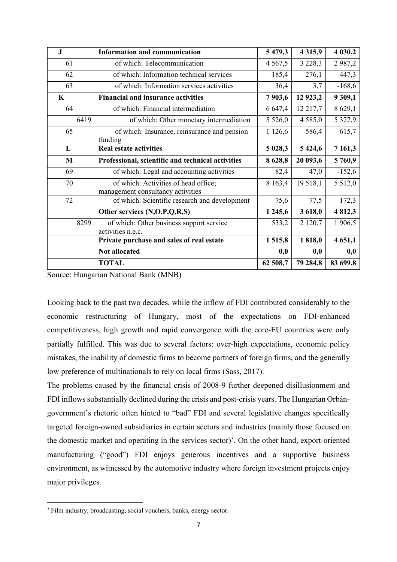| J           | <b>Information and communication</b>                                      | 5 4 7 9 , 3 | 4 3 1 5 , 9 | 4 030,2     |
|-------------|---------------------------------------------------------------------------|-------------|-------------|-------------|
| 61          | of which: Telecommunication                                               | 4 5 6 7 , 5 | 3 2 2 8 , 3 | 2987,2      |
| 62          | of which: Information technical services                                  | 185,4       | 276,1       | 447,3       |
| 63          | of which: Information services activities                                 | 36,4        | 3,7         | $-168,6$    |
| $\mathbf K$ | <b>Financial and insurance activities</b>                                 | 7903,6      | 12 9 23, 2  | 9 309,1     |
| 64          | of which: Financial intermediation                                        | 6 647,4     | 12 217,7    | 8 629,1     |
| 6419        | of which: Other monetary intermediation                                   | 5 5 2 6 , 0 | 4 5 8 5 , 0 | 5 3 2 7,9   |
| 65          | of which: Insurance, reinsurance and pension<br>funding                   | 1 1 26,6    | 586,4       | 615,7       |
| L           | <b>Real estate activities</b>                                             | 5 028,3     | 5 4 24, 6   | 7 1 6 1 , 3 |
| M           | Professional, scientific and technical activities                         | 8628,8      | 20 093,6    | 5760,9      |
| 69          | of which: Legal and accounting activities                                 | 82,4        | 47,0        | $-152,6$    |
| 70          | of which: Activities of head office;<br>management consultancy activities | 8 1 6 3 , 4 | 19 5 18,1   | 5 5 1 2,0   |
| 72          | of which: Scientific research and development                             | 75,6        | 77,5        | 172,3       |
|             | Other services (N,O,P,Q,R,S)                                              | 1 2 4 5 , 6 | 3 618,0     | 4812,3      |
| 8299        | of which: Other business support service<br>activities n.e.c.             | 533,2       | 2 1 2 0 , 7 | 1 906,5     |
|             | Private purchase and sales of real estate                                 | 1515,8      | 1818,0      | 4 651,1     |
|             | <b>Not allocated</b>                                                      | 0,0         | 0,0         | 0,0         |
|             | <b>TOTAL</b>                                                              | 62 508,7    | 79 284,8    | 83 699,8    |

Source: Hungarian National Bank (MNB)

Looking back to the past two decades, while the inflow of FDI contributed considerably to the economic restructuring of Hungary, most of the expectations on FDI-enhanced competitiveness, high growth and rapid convergence with the core-EU countries were only partially fulfilled. This was due to several factors: over-high expectations, economic policy mistakes, the inability of domestic firms to become partners of foreign firms, and the generally low preference of multinationals to rely on local firms (Sass, 2017).

The problems caused by the financial crisis of 2008-9 further deepened disillusionment and FDI inflows substantially declined during the crisis and post-crisis years. The Hungarian Orbángovernment's rhetoric often hinted to "bad" FDI and several legislative changes specifically targeted foreign-owned subsidiaries in certain sectors and industries (mainly those focused on the domestic market and operating in the services sector) 3 . On the other hand, export-oriented manufacturing ("good") FDI enjoys generous incentives and a supportive business environment, as witnessed by the automotive industry where foreign investment projects enjoy major privileges.

<sup>&</sup>lt;sup>3</sup> Film industry, broadcasting, social vouchers, banks, energy sector.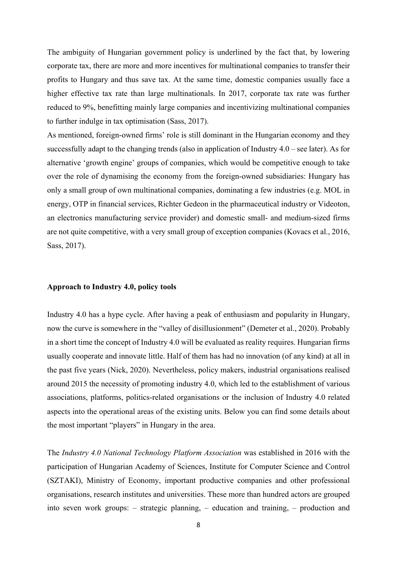The ambiguity of Hungarian government policy is underlined by the fact that, by lowering corporate tax, there are more and more incentives for multinational companies to transfer their profits to Hungary and thus save tax. At the same time, domestic companies usually face a higher effective tax rate than large multinationals. In 2017, corporate tax rate was further reduced to 9%, benefitting mainly large companies and incentivizing multinational companies to further indulge in tax optimisation (Sass, 2017).

As mentioned, foreign-owned firms' role is still dominant in the Hungarian economy and they successfully adapt to the changing trends (also in application of Industry 4.0 – see later). As for alternative 'growth engine' groups of companies, which would be competitive enough to take over the role of dynamising the economy from the foreign-owned subsidiaries: Hungary has only a small group of own multinational companies, dominating a few industries (e.g. MOL in energy, OTP in financial services, Richter Gedeon in the pharmaceutical industry or Videoton, an electronics manufacturing service provider) and domestic small- and medium-sized firms are not quite competitive, with a very small group of exception companies (Kovacs et al., 2016, Sass, 2017).

#### **Approach to Industry 4.0, policy tools**

Industry 4.0 has a hype cycle. After having a peak of enthusiasm and popularity in Hungary, now the curve is somewhere in the "valley of disillusionment" (Demeter et al., 2020). Probably in a short time the concept of Industry 4.0 will be evaluated as reality requires. Hungarian firms usually cooperate and innovate little. Half of them has had no innovation (of any kind) at all in the past five years (Nick, 2020). Nevertheless, policy makers, industrial organisations realised around 2015 the necessity of promoting industry 4.0, which led to the establishment of various associations, platforms, politics-related organisations or the inclusion of Industry 4.0 related aspects into the operational areas of the existing units. Below you can find some details about the most important "players" in Hungary in the area.

The *Industry 4.0 National Technology Platform Association* was established in 2016 with the participation of Hungarian Academy of Sciences, Institute for Computer Science and Control (SZTAKI), Ministry of Economy, important productive companies and other professional organisations, research institutes and universities. These more than hundred actors are grouped into seven work groups: – strategic planning, – education and training, – production and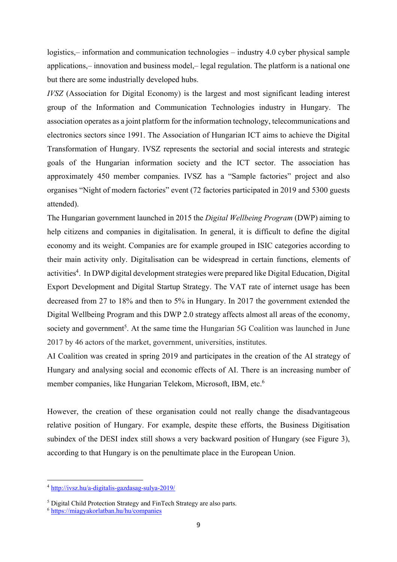logistics,– information and communication technologies – industry 4.0 cyber physical sample applications,– innovation and business model,– legal regulation. The platform is a national one but there are some industrially developed hubs.

*IVSZ* (Association for Digital Economy) is the largest and most significant leading interest group of the Information and Communication Technologies industry in Hungary. The association operates as a joint platform for the information technology, telecommunications and electronics sectors since 1991. The Association of Hungarian ICT aims to achieve the Digital Transformation of Hungary. IVSZ represents the sectorial and social interests and strategic goals of the Hungarian information society and the ICT sector. The association has approximately 450 member companies. IVSZ has a "Sample factories" project and also organises "Night of modern factories" event (72 factories participated in 2019 and 5300 guests attended).

The Hungarian government launched in 2015 the *Digital Wellbeing Program* (DWP) aiming to help citizens and companies in digitalisation. In general, it is difficult to define the digital economy and its weight. Companies are for example grouped in ISIC categories according to their main activity only. Digitalisation can be widespread in certain functions, elements of activities<sup>4</sup>. In DWP digital development strategies were prepared like Digital Education, Digital Export Development and Digital Startup Strategy. The VAT rate of internet usage has been decreased from 27 to 18% and then to 5% in Hungary. In 2017 the government extended the Digital Wellbeing Program and this DWP 2.0 strategy affects almost all areas of the economy, society and government<sup>5</sup>. At the same time the Hungarian 5G Coalition was launched in June 2017 by 46 actors of the market, government, universities, institutes.

AI Coalition was created in spring 2019 and participates in the creation of the AI strategy of Hungary and analysing social and economic effects of AI. There is an increasing number of member companies, like Hungarian Telekom, Microsoft, IBM, etc.<sup>6</sup>

However, the creation of these organisation could not really change the disadvantageous relative position of Hungary. For example, despite these efforts, the Business Digitisation subindex of the DESI index still shows a very backward position of Hungary (see Figure 3), according to that Hungary is on the penultimate place in the European Union.

<sup>4</sup> http://ivsz.hu/a-digitalis-gazdasag-sulya-2019/

<sup>5</sup> Digital Child Protection Strategy and FinTech Strategy are also parts.

<sup>6</sup> https://miagyakorlatban.hu/hu/companies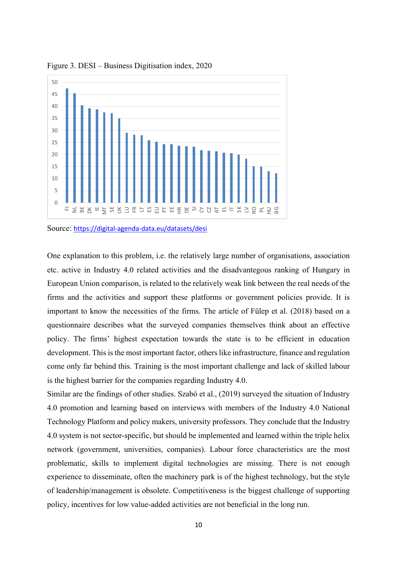

Figure 3. DESI – Business Digitisation index, 2020

Source: https://digital-agenda-data.eu/datasets/desi

One explanation to this problem, i.e. the relatively large number of organisations, association etc. active in Industry 4.0 related activities and the disadvantegous ranking of Hungary in European Union comparison, is related to the relatively weak link between the real needs of the firms and the activities and support these platforms or government policies provide. It is important to know the necessities of the firms. The article of Fülep et al. (2018) based on a questionnaire describes what the surveyed companies themselves think about an effective policy. The firms' highest expectation towards the state is to be efficient in education development. This is the most important factor, others like infrastructure, finance and regulation come only far behind this. Training is the most important challenge and lack of skilled labour is the highest barrier for the companies regarding Industry 4.0.

Similar are the findings of other studies. Szabó et al., (2019) surveyed the situation of Industry 4.0 promotion and learning based on interviews with members of the Industry 4.0 National Technology Platform and policy makers, university professors. They conclude that the Industry 4.0 system is not sector-specific, but should be implemented and learned within the triple helix network (government, universities, companies). Labour force characteristics are the most problematic, skills to implement digital technologies are missing. There is not enough experience to disseminate, often the machinery park is of the highest technology, but the style of leadership/management is obsolete. Competitiveness is the biggest challenge of supporting policy, incentives for low value-added activities are not beneficial in the long run.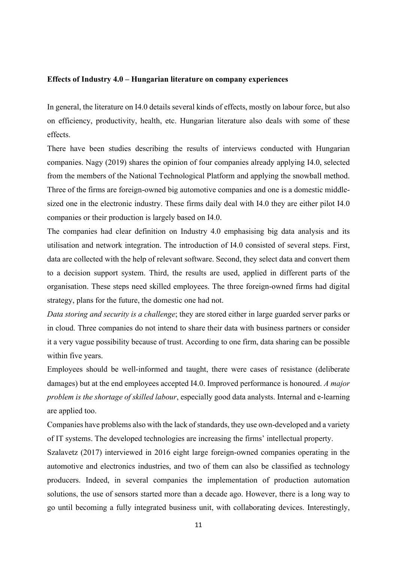### **Effects of Industry 4.0 – Hungarian literature on company experiences**

In general, the literature on I4.0 details several kinds of effects, mostly on labour force, but also on efficiency, productivity, health, etc. Hungarian literature also deals with some of these effects.

There have been studies describing the results of interviews conducted with Hungarian companies. Nagy (2019) shares the opinion of four companies already applying I4.0, selected from the members of the National Technological Platform and applying the snowball method. Three of the firms are foreign-owned big automotive companies and one is a domestic middlesized one in the electronic industry. These firms daily deal with I4.0 they are either pilot I4.0 companies or their production is largely based on I4.0.

The companies had clear definition on Industry 4.0 emphasising big data analysis and its utilisation and network integration. The introduction of I4.0 consisted of several steps. First, data are collected with the help of relevant software. Second, they select data and convert them to a decision support system. Third, the results are used, applied in different parts of the organisation. These steps need skilled employees. The three foreign-owned firms had digital strategy, plans for the future, the domestic one had not.

*Data storing and security is a challenge*; they are stored either in large guarded server parks or in cloud. Three companies do not intend to share their data with business partners or consider it a very vague possibility because of trust. According to one firm, data sharing can be possible within five years.

Employees should be well-informed and taught, there were cases of resistance (deliberate damages) but at the end employees accepted I4.0. Improved performance is honoured. *A major problem is the shortage of skilled labour*, especially good data analysts. Internal and e-learning are applied too.

Companies have problems also with the lack of standards, they use own-developed and a variety of IT systems. The developed technologies are increasing the firms' intellectual property.

Szalavetz (2017) interviewed in 2016 eight large foreign-owned companies operating in the automotive and electronics industries, and two of them can also be classified as technology producers. Indeed, in several companies the implementation of production automation solutions, the use of sensors started more than a decade ago. However, there is a long way to go until becoming a fully integrated business unit, with collaborating devices. Interestingly,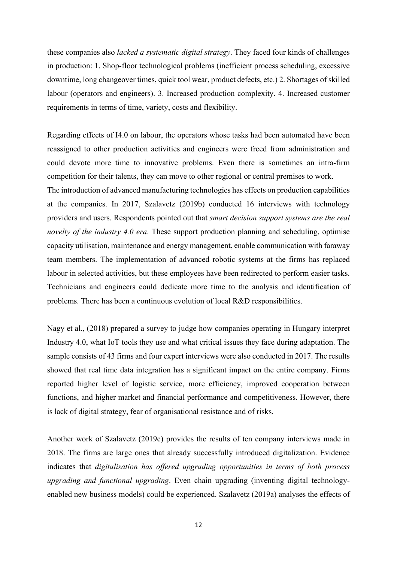these companies also *lacked a systematic digital strategy*. They faced four kinds of challenges in production: 1. Shop-floor technological problems (inefficient process scheduling, excessive downtime, long changeover times, quick tool wear, product defects, etc.) 2. Shortages of skilled labour (operators and engineers). 3. Increased production complexity. 4. Increased customer requirements in terms of time, variety, costs and flexibility.

Regarding effects of I4.0 on labour, the operators whose tasks had been automated have been reassigned to other production activities and engineers were freed from administration and could devote more time to innovative problems. Even there is sometimes an intra-firm competition for their talents, they can move to other regional or central premises to work. The introduction of advanced manufacturing technologies has effects on production capabilities at the companies. In 2017, Szalavetz (2019b) conducted 16 interviews with technology providers and users. Respondents pointed out that *smart decision support systems are the real novelty of the industry 4.0 era*. These support production planning and scheduling, optimise capacity utilisation, maintenance and energy management, enable communication with faraway team members. The implementation of advanced robotic systems at the firms has replaced labour in selected activities, but these employees have been redirected to perform easier tasks. Technicians and engineers could dedicate more time to the analysis and identification of problems. There has been a continuous evolution of local R&D responsibilities.

Nagy et al., (2018) prepared a survey to judge how companies operating in Hungary interpret Industry 4.0, what IoT tools they use and what critical issues they face during adaptation. The sample consists of 43 firms and four expert interviews were also conducted in 2017. The results showed that real time data integration has a significant impact on the entire company. Firms reported higher level of logistic service, more efficiency, improved cooperation between functions, and higher market and financial performance and competitiveness. However, there is lack of digital strategy, fear of organisational resistance and of risks.

Another work of Szalavetz (2019c) provides the results of ten company interviews made in 2018. The firms are large ones that already successfully introduced digitalization. Evidence indicates that *digitalisation has offered upgrading opportunities in terms of both process upgrading and functional upgrading*. Even chain upgrading (inventing digital technologyenabled new business models) could be experienced. Szalavetz (2019a) analyses the effects of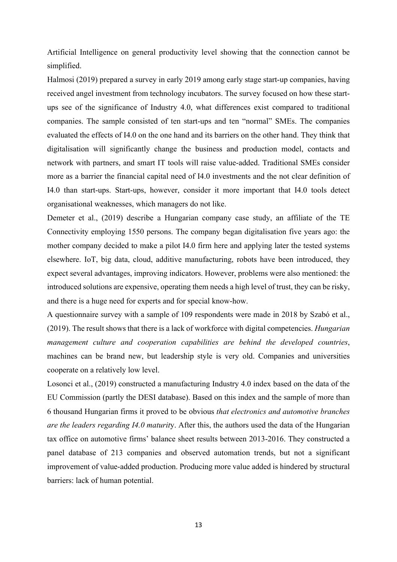Artificial Intelligence on general productivity level showing that the connection cannot be simplified.

Halmosi (2019) prepared a survey in early 2019 among early stage start-up companies, having received angel investment from technology incubators. The survey focused on how these startups see of the significance of Industry 4.0, what differences exist compared to traditional companies. The sample consisted of ten start-ups and ten "normal" SMEs. The companies evaluated the effects of I4.0 on the one hand and its barriers on the other hand. They think that digitalisation will significantly change the business and production model, contacts and network with partners, and smart IT tools will raise value-added. Traditional SMEs consider more as a barrier the financial capital need of I4.0 investments and the not clear definition of I4.0 than start-ups. Start-ups, however, consider it more important that I4.0 tools detect organisational weaknesses, which managers do not like.

Demeter et al., (2019) describe a Hungarian company case study, an affiliate of the TE Connectivity employing 1550 persons. The company began digitalisation five years ago: the mother company decided to make a pilot I4.0 firm here and applying later the tested systems elsewhere. IoT, big data, cloud, additive manufacturing, robots have been introduced, they expect several advantages, improving indicators. However, problems were also mentioned: the introduced solutions are expensive, operating them needs a high level of trust, they can be risky, and there is a huge need for experts and for special know-how.

A questionnaire survey with a sample of 109 respondents were made in 2018 by Szabó et al., (2019). The result shows that there is a lack of workforce with digital competencies. *Hungarian management culture and cooperation capabilities are behind the developed countries*, machines can be brand new, but leadership style is very old. Companies and universities cooperate on a relatively low level.

Losonci et al., (2019) constructed a manufacturing Industry 4.0 index based on the data of the EU Commission (partly the DESI database). Based on this index and the sample of more than 6 thousand Hungarian firms it proved to be obvious *that electronics and automotive branches are the leaders regarding I4.0 maturit*y. After this, the authors used the data of the Hungarian tax office on automotive firms' balance sheet results between 2013-2016. They constructed a panel database of 213 companies and observed automation trends, but not a significant improvement of value-added production. Producing more value added is hindered by structural barriers: lack of human potential.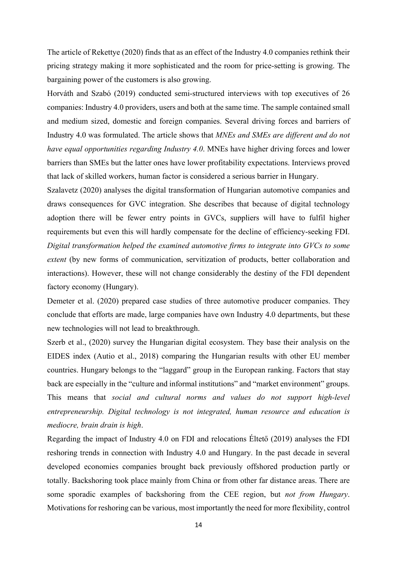The article of Rekettye (2020) finds that as an effect of the Industry 4.0 companies rethink their pricing strategy making it more sophisticated and the room for price-setting is growing. The bargaining power of the customers is also growing.

Horváth and Szabó (2019) conducted semi-structured interviews with top executives of 26 companies: Industry 4.0 providers, users and both at the same time. The sample contained small and medium sized, domestic and foreign companies. Several driving forces and barriers of Industry 4.0 was formulated. The article shows that *MNEs and SMEs are different and do not have equal opportunities regarding Industry 4.0*. MNEs have higher driving forces and lower barriers than SMEs but the latter ones have lower profitability expectations. Interviews proved that lack of skilled workers, human factor is considered a serious barrier in Hungary.

Szalavetz (2020) analyses the digital transformation of Hungarian automotive companies and draws consequences for GVC integration. She describes that because of digital technology adoption there will be fewer entry points in GVCs, suppliers will have to fulfil higher requirements but even this will hardly compensate for the decline of efficiency-seeking FDI. *Digital transformation helped the examined automotive firms to integrate into GVCs to some extent* (by new forms of communication, servitization of products, better collaboration and interactions). However, these will not change considerably the destiny of the FDI dependent factory economy (Hungary).

Demeter et al. (2020) prepared case studies of three automotive producer companies. They conclude that efforts are made, large companies have own Industry 4.0 departments, but these new technologies will not lead to breakthrough.

Szerb et al., (2020) survey the Hungarian digital ecosystem. They base their analysis on the EIDES index (Autio et al., 2018) comparing the Hungarian results with other EU member countries. Hungary belongs to the "laggard" group in the European ranking. Factors that stay back are especially in the "culture and informal institutions" and "market environment" groups. This means that *social and cultural norms and values do not support high-level entrepreneurship. Digital technology is not integrated, human resource and education is mediocre, brain drain is high*.

Regarding the impact of Industry 4.0 on FDI and relocations Éltető (2019) analyses the FDI reshoring trends in connection with Industry 4.0 and Hungary. In the past decade in several developed economies companies brought back previously offshored production partly or totally. Backshoring took place mainly from China or from other far distance areas. There are some sporadic examples of backshoring from the CEE region, but *not from Hungary*. Motivations for reshoring can be various, most importantly the need for more flexibility, control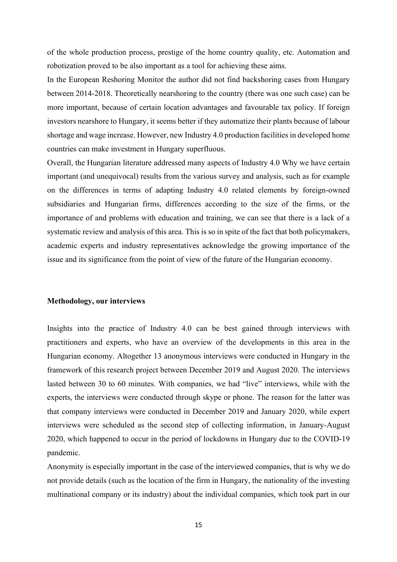of the whole production process, prestige of the home country quality, etc. Automation and robotization proved to be also important as a tool for achieving these aims.

In the European Reshoring Monitor the author did not find backshoring cases from Hungary between 2014-2018. Theoretically nearshoring to the country (there was one such case) can be more important, because of certain location advantages and favourable tax policy. If foreign investors nearshore to Hungary, it seems better if they automatize their plants because of labour shortage and wage increase. However, new Industry 4.0 production facilities in developed home countries can make investment in Hungary superfluous.

Overall, the Hungarian literature addressed many aspects of Industry 4.0 Why we have certain important (and unequivocal) results from the various survey and analysis, such as for example on the differences in terms of adapting Industry 4.0 related elements by foreign-owned subsidiaries and Hungarian firms, differences according to the size of the firms, or the importance of and problems with education and training, we can see that there is a lack of a systematic review and analysis of this area. This is so in spite of the fact that both policymakers, academic experts and industry representatives acknowledge the growing importance of the issue and its significance from the point of view of the future of the Hungarian economy.

### **Methodology, our interviews**

Insights into the practice of Industry 4.0 can be best gained through interviews with practitioners and experts, who have an overview of the developments in this area in the Hungarian economy. Altogether 13 anonymous interviews were conducted in Hungary in the framework of this research project between December 2019 and August 2020. The interviews lasted between 30 to 60 minutes. With companies, we had "live" interviews, while with the experts, the interviews were conducted through skype or phone. The reason for the latter was that company interviews were conducted in December 2019 and January 2020, while expert interviews were scheduled as the second step of collecting information, in January-August 2020, which happened to occur in the period of lockdowns in Hungary due to the COVID-19 pandemic.

Anonymity is especially important in the case of the interviewed companies, that is why we do not provide details (such as the location of the firm in Hungary, the nationality of the investing multinational company or its industry) about the individual companies, which took part in our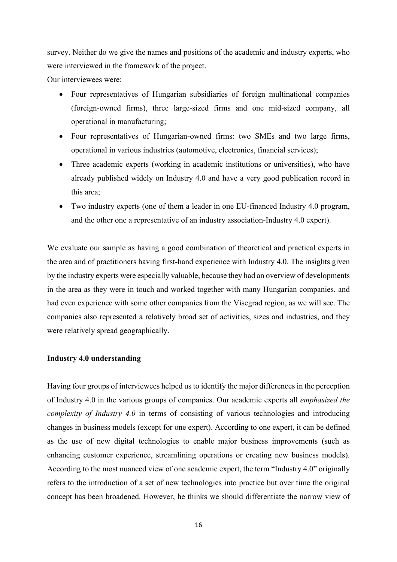survey. Neither do we give the names and positions of the academic and industry experts, who were interviewed in the framework of the project.

Our interviewees were:

- Four representatives of Hungarian subsidiaries of foreign multinational companies (foreign-owned firms), three large-sized firms and one mid-sized company, all operational in manufacturing;
- Four representatives of Hungarian-owned firms: two SMEs and two large firms, operational in various industries (automotive, electronics, financial services);
- Three academic experts (working in academic institutions or universities), who have already published widely on Industry 4.0 and have a very good publication record in this area;
- Two industry experts (one of them a leader in one EU-financed Industry 4.0 program, and the other one a representative of an industry association-Industry 4.0 expert).

We evaluate our sample as having a good combination of theoretical and practical experts in the area and of practitioners having first-hand experience with Industry 4.0. The insights given by the industry experts were especially valuable, because they had an overview of developments in the area as they were in touch and worked together with many Hungarian companies, and had even experience with some other companies from the Visegrad region, as we will see. The companies also represented a relatively broad set of activities, sizes and industries, and they were relatively spread geographically.

## **Industry 4.0 understanding**

Having four groups of interviewees helped us to identify the major differences in the perception of Industry 4.0 in the various groups of companies. Our academic experts all *emphasized the complexity of Industry 4.0* in terms of consisting of various technologies and introducing changes in business models (except for one expert). According to one expert, it can be defined as the use of new digital technologies to enable major business improvements (such as enhancing customer experience, streamlining operations or creating new business models). According to the most nuanced view of one academic expert, the term "Industry 4.0" originally refers to the introduction of a set of new technologies into practice but over time the original concept has been broadened. However, he thinks we should differentiate the narrow view of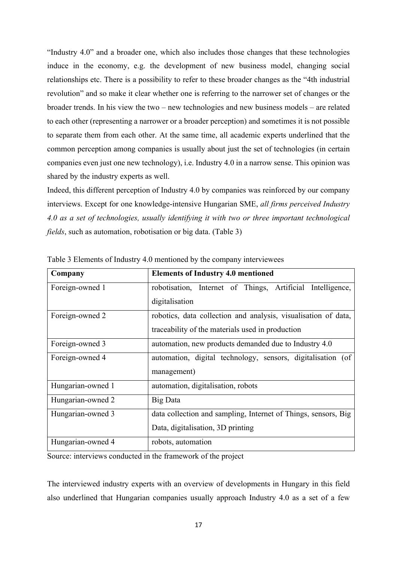"Industry 4.0" and a broader one, which also includes those changes that these technologies induce in the economy, e.g. the development of new business model, changing social relationships etc. There is a possibility to refer to these broader changes as the "4th industrial revolution" and so make it clear whether one is referring to the narrower set of changes or the broader trends. In his view the two – new technologies and new business models – are related to each other (representing a narrower or a broader perception) and sometimes it is not possible to separate them from each other. At the same time, all academic experts underlined that the common perception among companies is usually about just the set of technologies (in certain companies even just one new technology), i.e. Industry 4.0 in a narrow sense. This opinion was shared by the industry experts as well.

Indeed, this different perception of Industry 4.0 by companies was reinforced by our company interviews. Except for one knowledge-intensive Hungarian SME, *all firms perceived Industry 4.0 as a set of technologies, usually identifying it with two or three important technological fields*, such as automation, robotisation or big data. (Table 3)

| Company           | <b>Elements of Industry 4.0 mentioned</b>                      |  |  |
|-------------------|----------------------------------------------------------------|--|--|
| Foreign-owned 1   | robotisation, Internet of Things, Artificial Intelligence,     |  |  |
|                   | digitalisation                                                 |  |  |
| Foreign-owned 2   | robotics, data collection and analysis, visualisation of data, |  |  |
|                   | traceability of the materials used in production               |  |  |
| Foreign-owned 3   | automation, new products demanded due to Industry 4.0          |  |  |
| Foreign-owned 4   | automation, digital technology, sensors, digitalisation (of    |  |  |
|                   | management)                                                    |  |  |
| Hungarian-owned 1 | automation, digitalisation, robots                             |  |  |
| Hungarian-owned 2 | <b>Big Data</b>                                                |  |  |
| Hungarian-owned 3 | data collection and sampling, Internet of Things, sensors, Big |  |  |
|                   | Data, digitalisation, 3D printing                              |  |  |
| Hungarian-owned 4 | robots, automation                                             |  |  |

Table 3 Elements of Industry 4.0 mentioned by the company interviewees

Source: interviews conducted in the framework of the project

The interviewed industry experts with an overview of developments in Hungary in this field also underlined that Hungarian companies usually approach Industry 4.0 as a set of a few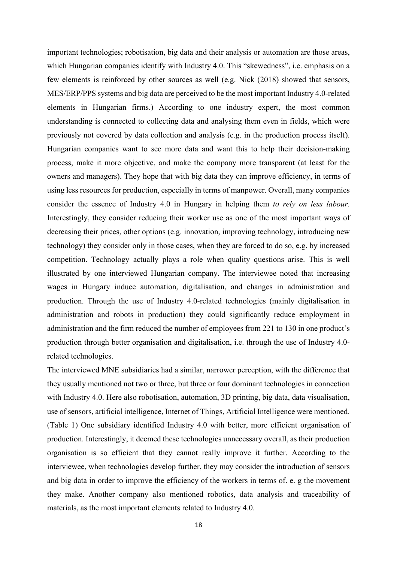important technologies; robotisation, big data and their analysis or automation are those areas, which Hungarian companies identify with Industry 4.0. This "skewedness", i.e. emphasis on a few elements is reinforced by other sources as well (e.g. Nick (2018) showed that sensors, MES/ERP/PPS systems and big data are perceived to be the most important Industry 4.0-related elements in Hungarian firms.) According to one industry expert, the most common understanding is connected to collecting data and analysing them even in fields, which were previously not covered by data collection and analysis (e.g. in the production process itself). Hungarian companies want to see more data and want this to help their decision-making process, make it more objective, and make the company more transparent (at least for the owners and managers). They hope that with big data they can improve efficiency, in terms of using less resources for production, especially in terms of manpower. Overall, many companies consider the essence of Industry 4.0 in Hungary in helping them *to rely on less labour*. Interestingly, they consider reducing their worker use as one of the most important ways of decreasing their prices, other options (e.g. innovation, improving technology, introducing new technology) they consider only in those cases, when they are forced to do so, e.g. by increased competition. Technology actually plays a role when quality questions arise. This is well illustrated by one interviewed Hungarian company. The interviewee noted that increasing wages in Hungary induce automation, digitalisation, and changes in administration and production. Through the use of Industry 4.0-related technologies (mainly digitalisation in administration and robots in production) they could significantly reduce employment in administration and the firm reduced the number of employees from 221 to 130 in one product's production through better organisation and digitalisation, i.e. through the use of Industry 4.0 related technologies.

The interviewed MNE subsidiaries had a similar, narrower perception, with the difference that they usually mentioned not two or three, but three or four dominant technologies in connection with Industry 4.0. Here also robotisation, automation, 3D printing, big data, data visualisation, use of sensors, artificial intelligence, Internet of Things, Artificial Intelligence were mentioned. (Table 1) One subsidiary identified Industry 4.0 with better, more efficient organisation of production. Interestingly, it deemed these technologies unnecessary overall, as their production organisation is so efficient that they cannot really improve it further. According to the interviewee, when technologies develop further, they may consider the introduction of sensors and big data in order to improve the efficiency of the workers in terms of. e. g the movement they make. Another company also mentioned robotics, data analysis and traceability of materials, as the most important elements related to Industry 4.0.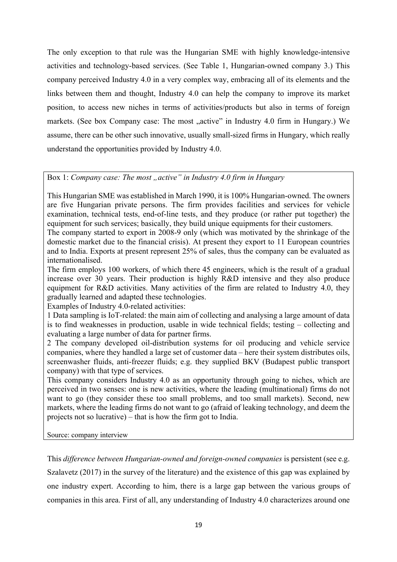The only exception to that rule was the Hungarian SME with highly knowledge-intensive activities and technology-based services. (See Table 1, Hungarian-owned company 3.) This company perceived Industry 4.0 in a very complex way, embracing all of its elements and the links between them and thought, Industry 4.0 can help the company to improve its market position, to access new niches in terms of activities/products but also in terms of foreign markets. (See box Company case: The most ..active" in Industry 4.0 firm in Hungary.) We assume, there can be other such innovative, usually small-sized firms in Hungary, which really understand the opportunities provided by Industry 4.0.

# Box 1: *Company case: The most "active" in Industry 4.0 firm in Hungary*

This Hungarian SME was established in March 1990, it is 100% Hungarian-owned. The owners are five Hungarian private persons. The firm provides facilities and services for vehicle examination, technical tests, end-of-line tests, and they produce (or rather put together) the equipment for such services; basically, they build unique equipments for their customers.

The company started to export in 2008-9 only (which was motivated by the shrinkage of the domestic market due to the financial crisis). At present they export to 11 European countries and to India. Exports at present represent 25% of sales, thus the company can be evaluated as internationalised.

The firm employs 100 workers, of which there 45 engineers, which is the result of a gradual increase over 30 years. Their production is highly R&D intensive and they also produce equipment for R&D activities. Many activities of the firm are related to Industry 4.0, they gradually learned and adapted these technologies.

Examples of Industry 4.0-related activities:

1 Data sampling is IoT-related: the main aim of collecting and analysing a large amount of data is to find weaknesses in production, usable in wide technical fields; testing – collecting and evaluating a large number of data for partner firms.

2 The company developed oil-distribution systems for oil producing and vehicle service companies, where they handled a large set of customer data – here their system distributes oils, screenwasher fluids, anti-freezer fluids; e.g. they supplied BKV (Budapest public transport company) with that type of services.

This company considers Industry 4.0 as an opportunity through going to niches, which are perceived in two senses: one is new activities, where the leading (multinational) firms do not want to go (they consider these too small problems, and too small markets). Second, new markets, where the leading firms do not want to go (afraid of leaking technology, and deem the projects not so lucrative) – that is how the firm got to India.

Source: company interview

This *difference between Hungarian-owned and foreign-owned companies* is persistent (see e.g. Szalavetz (2017) in the survey of the literature) and the existence of this gap was explained by one industry expert. According to him, there is a large gap between the various groups of companies in this area. First of all, any understanding of Industry 4.0 characterizes around one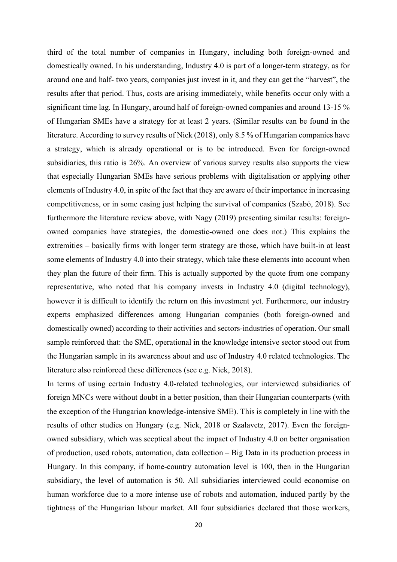third of the total number of companies in Hungary, including both foreign-owned and domestically owned. In his understanding, Industry 4.0 is part of a longer-term strategy, as for around one and half- two years, companies just invest in it, and they can get the "harvest", the results after that period. Thus, costs are arising immediately, while benefits occur only with a significant time lag. In Hungary, around half of foreign-owned companies and around 13-15 % of Hungarian SMEs have a strategy for at least 2 years. (Similar results can be found in the literature. According to survey results of Nick (2018), only 8.5 % of Hungarian companies have a strategy, which is already operational or is to be introduced. Even for foreign-owned subsidiaries, this ratio is 26%. An overview of various survey results also supports the view that especially Hungarian SMEs have serious problems with digitalisation or applying other elements of Industry 4.0, in spite of the fact that they are aware of their importance in increasing competitiveness, or in some casing just helping the survival of companies (Szabó, 2018). See furthermore the literature review above, with Nagy (2019) presenting similar results: foreignowned companies have strategies, the domestic-owned one does not.) This explains the extremities – basically firms with longer term strategy are those, which have built-in at least some elements of Industry 4.0 into their strategy, which take these elements into account when they plan the future of their firm. This is actually supported by the quote from one company representative, who noted that his company invests in Industry 4.0 (digital technology), however it is difficult to identify the return on this investment yet. Furthermore, our industry experts emphasized differences among Hungarian companies (both foreign-owned and domestically owned) according to their activities and sectors-industries of operation. Our small sample reinforced that: the SME, operational in the knowledge intensive sector stood out from the Hungarian sample in its awareness about and use of Industry 4.0 related technologies. The literature also reinforced these differences (see e.g. Nick, 2018).

In terms of using certain Industry 4.0-related technologies, our interviewed subsidiaries of foreign MNCs were without doubt in a better position, than their Hungarian counterparts (with the exception of the Hungarian knowledge-intensive SME). This is completely in line with the results of other studies on Hungary (e.g. Nick, 2018 or Szalavetz, 2017). Even the foreignowned subsidiary, which was sceptical about the impact of Industry 4.0 on better organisation of production, used robots, automation, data collection – Big Data in its production process in Hungary. In this company, if home-country automation level is 100, then in the Hungarian subsidiary, the level of automation is 50. All subsidiaries interviewed could economise on human workforce due to a more intense use of robots and automation, induced partly by the tightness of the Hungarian labour market. All four subsidiaries declared that those workers,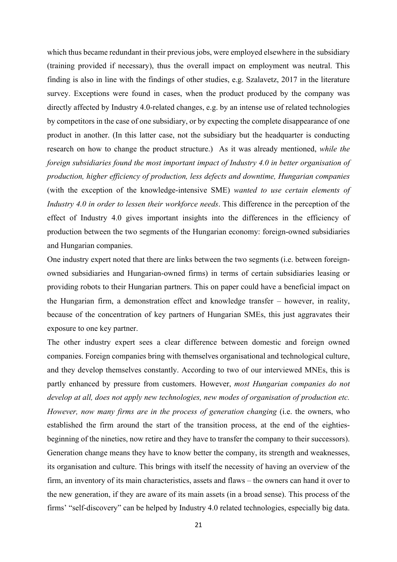which thus became redundant in their previous jobs, were employed elsewhere in the subsidiary (training provided if necessary), thus the overall impact on employment was neutral. This finding is also in line with the findings of other studies, e.g. Szalavetz, 2017 in the literature survey. Exceptions were found in cases, when the product produced by the company was directly affected by Industry 4.0-related changes, e.g. by an intense use of related technologies by competitors in the case of one subsidiary, or by expecting the complete disappearance of one product in another. (In this latter case, not the subsidiary but the headquarter is conducting research on how to change the product structure.) As it was already mentioned, *while the foreign subsidiaries found the most important impact of Industry 4.0 in better organisation of production, higher efficiency of production, less defects and downtime, Hungarian companies*  (with the exception of the knowledge-intensive SME) *wanted to use certain elements of Industry 4.0 in order to lessen their workforce needs*. This difference in the perception of the effect of Industry 4.0 gives important insights into the differences in the efficiency of production between the two segments of the Hungarian economy: foreign-owned subsidiaries and Hungarian companies.

One industry expert noted that there are links between the two segments (i.e. between foreignowned subsidiaries and Hungarian-owned firms) in terms of certain subsidiaries leasing or providing robots to their Hungarian partners. This on paper could have a beneficial impact on the Hungarian firm, a demonstration effect and knowledge transfer – however, in reality, because of the concentration of key partners of Hungarian SMEs, this just aggravates their exposure to one key partner.

The other industry expert sees a clear difference between domestic and foreign owned companies. Foreign companies bring with themselves organisational and technological culture, and they develop themselves constantly. According to two of our interviewed MNEs, this is partly enhanced by pressure from customers. However, *most Hungarian companies do not develop at all, does not apply new technologies, new modes of organisation of production etc. However, now many firms are in the process of generation changing* (i.e. the owners, who established the firm around the start of the transition process, at the end of the eightiesbeginning of the nineties, now retire and they have to transfer the company to their successors). Generation change means they have to know better the company, its strength and weaknesses, its organisation and culture. This brings with itself the necessity of having an overview of the firm, an inventory of its main characteristics, assets and flaws – the owners can hand it over to the new generation, if they are aware of its main assets (in a broad sense). This process of the firms' "self-discovery" can be helped by Industry 4.0 related technologies, especially big data.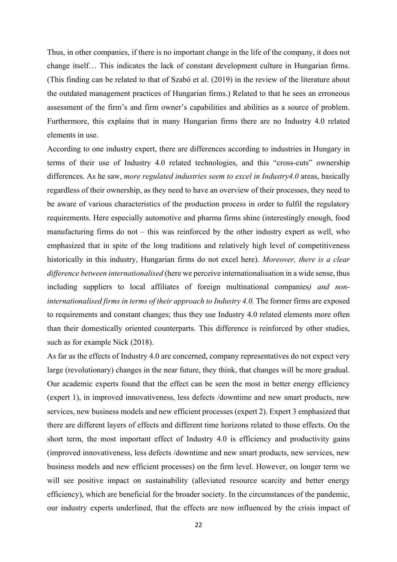Thus, in other companies, if there is no important change in the life of the company, it does not change itself… This indicates the lack of constant development culture in Hungarian firms. (This finding can be related to that of Szabó et al. (2019) in the review of the literature about the outdated management practices of Hungarian firms.) Related to that he sees an erroneous assessment of the firm's and firm owner's capabilities and abilities as a source of problem. Furthermore, this explains that in many Hungarian firms there are no Industry 4.0 related elements in use.

According to one industry expert, there are differences according to industries in Hungary in terms of their use of Industry 4.0 related technologies, and this "cross-cuts" ownership differences. As he saw, *more regulated industries seem to excel in Industry4.0* areas, basically regardless of their ownership, as they need to have an overview of their processes, they need to be aware of various characteristics of the production process in order to fulfil the regulatory requirements. Here especially automotive and pharma firms shine (interestingly enough, food manufacturing firms do not – this was reinforced by the other industry expert as well, who emphasized that in spite of the long traditions and relatively high level of competitiveness historically in this industry, Hungarian firms do not excel here). *Moreover, there is a clear difference between internationalised* (here we perceive internationalisation in a wide sense, thus including suppliers to local affiliates of foreign multinational companies*) and noninternationalised firms in terms of their approach to Industry 4.0.* The former firms are exposed to requirements and constant changes; thus they use Industry 4.0 related elements more often than their domestically oriented counterparts. This difference is reinforced by other studies, such as for example Nick (2018).

As far as the effects of Industry 4.0 are concerned, company representatives do not expect very large (revolutionary) changes in the near future, they think, that changes will be more gradual. Our academic experts found that the effect can be seen the most in better energy efficiency (expert 1), in improved innovativeness, less defects /downtime and new smart products, new services, new business models and new efficient processes (expert 2). Expert 3 emphasized that there are different layers of effects and different time horizons related to those effects. On the short term, the most important effect of Industry 4.0 is efficiency and productivity gains (improved innovativeness, less defects /downtime and new smart products, new services, new business models and new efficient processes) on the firm level. However, on longer term we will see positive impact on sustainability (alleviated resource scarcity and better energy efficiency), which are beneficial for the broader society. In the circumstances of the pandemic, our industry experts underlined, that the effects are now influenced by the crisis impact of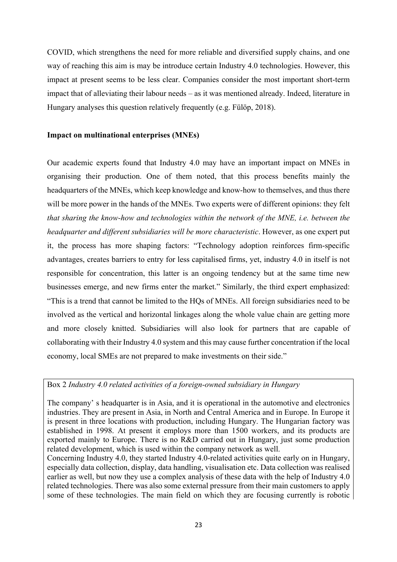COVID, which strengthens the need for more reliable and diversified supply chains, and one way of reaching this aim is may be introduce certain Industry 4.0 technologies. However, this impact at present seems to be less clear. Companies consider the most important short-term impact that of alleviating their labour needs – as it was mentioned already. Indeed, literature in Hungary analyses this question relatively frequently (e.g. Fülöp, 2018).

## **Impact on multinational enterprises (MNEs)**

Our academic experts found that Industry 4.0 may have an important impact on MNEs in organising their production. One of them noted, that this process benefits mainly the headquarters of the MNEs, which keep knowledge and know-how to themselves, and thus there will be more power in the hands of the MNEs. Two experts were of different opinions: they felt *that sharing the know-how and technologies within the network of the MNE, i.e. between the headquarter and different subsidiaries will be more characteristic*. However, as one expert put it, the process has more shaping factors: "Technology adoption reinforces firm-specific advantages, creates barriers to entry for less capitalised firms, yet, industry 4.0 in itself is not responsible for concentration, this latter is an ongoing tendency but at the same time new businesses emerge, and new firms enter the market." Similarly, the third expert emphasized: "This is a trend that cannot be limited to the HQs of MNEs. All foreign subsidiaries need to be involved as the vertical and horizontal linkages along the whole value chain are getting more and more closely knitted. Subsidiaries will also look for partners that are capable of collaborating with their Industry 4.0 system and this may cause further concentration if the local economy, local SMEs are not prepared to make investments on their side."

# Box 2 *Industry 4.0 related activities of a foreign-owned subsidiary in Hungary*

The company' s headquarter is in Asia, and it is operational in the automotive and electronics industries. They are present in Asia, in North and Central America and in Europe. In Europe it is present in three locations with production, including Hungary. The Hungarian factory was established in 1998. At present it employs more than 1500 workers, and its products are exported mainly to Europe. There is no R&D carried out in Hungary, just some production related development, which is used within the company network as well.

Concerning Industry 4.0, they started Industry 4.0-related activities quite early on in Hungary, especially data collection, display, data handling, visualisation etc. Data collection was realised earlier as well, but now they use a complex analysis of these data with the help of Industry 4.0 related technologies. There was also some external pressure from their main customers to apply some of these technologies. The main field on which they are focusing currently is robotic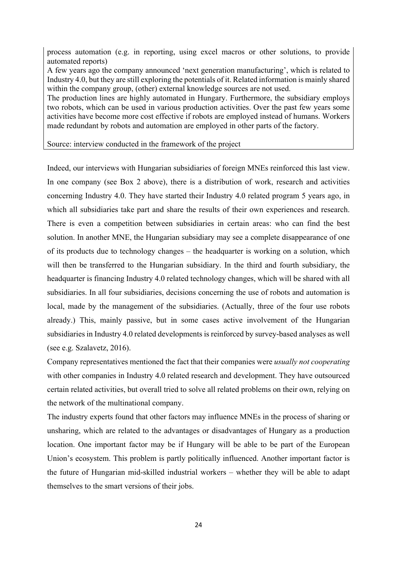process automation (e.g. in reporting, using excel macros or other solutions, to provide automated reports)

A few years ago the company announced 'next generation manufacturing', which is related to Industry 4.0, but they are still exploring the potentials of it. Related information is mainly shared within the company group, (other) external knowledge sources are not used.

The production lines are highly automated in Hungary. Furthermore, the subsidiary employs two robots, which can be used in various production activities. Over the past few years some activities have become more cost effective if robots are employed instead of humans. Workers made redundant by robots and automation are employed in other parts of the factory.

Source: interview conducted in the framework of the project

Indeed, our interviews with Hungarian subsidiaries of foreign MNEs reinforced this last view. In one company (see Box 2 above), there is a distribution of work, research and activities concerning Industry 4.0. They have started their Industry 4.0 related program 5 years ago, in which all subsidiaries take part and share the results of their own experiences and research. There is even a competition between subsidiaries in certain areas: who can find the best solution. In another MNE, the Hungarian subsidiary may see a complete disappearance of one of its products due to technology changes – the headquarter is working on a solution, which will then be transferred to the Hungarian subsidiary. In the third and fourth subsidiary, the headquarter is financing Industry 4.0 related technology changes, which will be shared with all subsidiaries. In all four subsidiaries, decisions concerning the use of robots and automation is local, made by the management of the subsidiaries. (Actually, three of the four use robots already.) This, mainly passive, but in some cases active involvement of the Hungarian subsidiaries in Industry 4.0 related developments is reinforced by survey-based analyses as well (see e.g. Szalavetz, 2016).

Company representatives mentioned the fact that their companies were *usually not cooperating* with other companies in Industry 4.0 related research and development. They have outsourced certain related activities, but overall tried to solve all related problems on their own, relying on the network of the multinational company.

The industry experts found that other factors may influence MNEs in the process of sharing or unsharing, which are related to the advantages or disadvantages of Hungary as a production location. One important factor may be if Hungary will be able to be part of the European Union's ecosystem. This problem is partly politically influenced. Another important factor is the future of Hungarian mid-skilled industrial workers – whether they will be able to adapt themselves to the smart versions of their jobs.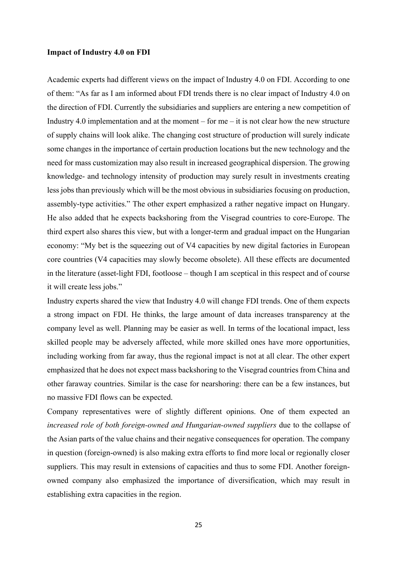### **Impact of Industry 4.0 on FDI**

Academic experts had different views on the impact of Industry 4.0 on FDI. According to one of them: "As far as I am informed about FDI trends there is no clear impact of Industry 4.0 on the direction of FDI. Currently the subsidiaries and suppliers are entering a new competition of Industry 4.0 implementation and at the moment – for me – it is not clear how the new structure of supply chains will look alike. The changing cost structure of production will surely indicate some changes in the importance of certain production locations but the new technology and the need for mass customization may also result in increased geographical dispersion. The growing knowledge- and technology intensity of production may surely result in investments creating less jobs than previously which will be the most obvious in subsidiaries focusing on production, assembly-type activities." The other expert emphasized a rather negative impact on Hungary. He also added that he expects backshoring from the Visegrad countries to core-Europe. The third expert also shares this view, but with a longer-term and gradual impact on the Hungarian economy: "My bet is the squeezing out of V4 capacities by new digital factories in European core countries (V4 capacities may slowly become obsolete). All these effects are documented in the literature (asset-light FDI, footloose – though I am sceptical in this respect and of course it will create less jobs."

Industry experts shared the view that Industry 4.0 will change FDI trends. One of them expects a strong impact on FDI. He thinks, the large amount of data increases transparency at the company level as well. Planning may be easier as well. In terms of the locational impact, less skilled people may be adversely affected, while more skilled ones have more opportunities, including working from far away, thus the regional impact is not at all clear. The other expert emphasized that he does not expect mass backshoring to the Visegrad countries from China and other faraway countries. Similar is the case for nearshoring: there can be a few instances, but no massive FDI flows can be expected.

Company representatives were of slightly different opinions. One of them expected an *increased role of both foreign-owned and Hungarian-owned suppliers* due to the collapse of the Asian parts of the value chains and their negative consequences for operation. The company in question (foreign-owned) is also making extra efforts to find more local or regionally closer suppliers. This may result in extensions of capacities and thus to some FDI. Another foreignowned company also emphasized the importance of diversification, which may result in establishing extra capacities in the region.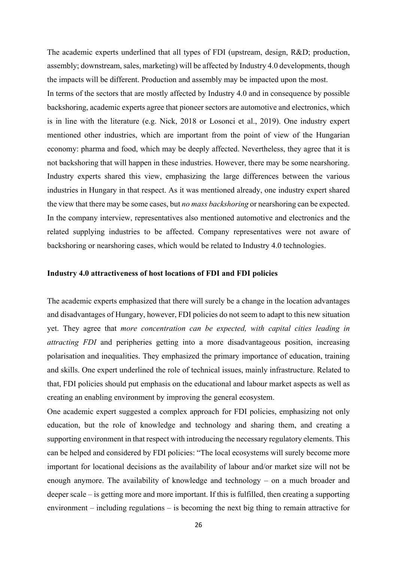The academic experts underlined that all types of FDI (upstream, design, R&D; production, assembly; downstream, sales, marketing) will be affected by Industry 4.0 developments, though the impacts will be different. Production and assembly may be impacted upon the most.

In terms of the sectors that are mostly affected by Industry 4.0 and in consequence by possible backshoring, academic experts agree that pioneer sectors are automotive and electronics, which is in line with the literature (e.g. Nick, 2018 or Losonci et al., 2019). One industry expert mentioned other industries, which are important from the point of view of the Hungarian economy: pharma and food, which may be deeply affected. Nevertheless, they agree that it is not backshoring that will happen in these industries. However, there may be some nearshoring. Industry experts shared this view, emphasizing the large differences between the various industries in Hungary in that respect. As it was mentioned already, one industry expert shared the view that there may be some cases, but *no mass backshoring* or nearshoring can be expected. In the company interview, representatives also mentioned automotive and electronics and the related supplying industries to be affected. Company representatives were not aware of backshoring or nearshoring cases, which would be related to Industry 4.0 technologies.

### **Industry 4.0 attractiveness of host locations of FDI and FDI policies**

The academic experts emphasized that there will surely be a change in the location advantages and disadvantages of Hungary, however, FDI policies do not seem to adapt to this new situation yet. They agree that *more concentration can be expected, with capital cities leading in attracting FDI* and peripheries getting into a more disadvantageous position, increasing polarisation and inequalities. They emphasized the primary importance of education, training and skills. One expert underlined the role of technical issues, mainly infrastructure. Related to that, FDI policies should put emphasis on the educational and labour market aspects as well as creating an enabling environment by improving the general ecosystem.

One academic expert suggested a complex approach for FDI policies, emphasizing not only education, but the role of knowledge and technology and sharing them, and creating a supporting environment in that respect with introducing the necessary regulatory elements. This can be helped and considered by FDI policies: "The local ecosystems will surely become more important for locational decisions as the availability of labour and/or market size will not be enough anymore. The availability of knowledge and technology – on a much broader and deeper scale – is getting more and more important. If this is fulfilled, then creating a supporting environment – including regulations – is becoming the next big thing to remain attractive for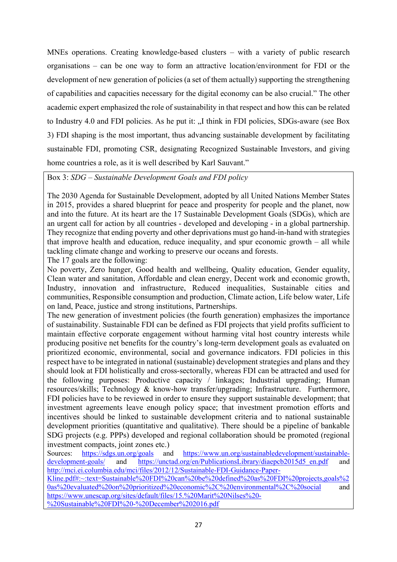MNEs operations. Creating knowledge-based clusters – with a variety of public research organisations – can be one way to form an attractive location/environment for FDI or the development of new generation of policies (a set of them actually) supporting the strengthening of capabilities and capacities necessary for the digital economy can be also crucial." The other academic expert emphasized the role of sustainability in that respect and how this can be related to Industry 4.0 and FDI policies. As he put it: ...I think in FDI policies, SDGs-aware (see Box 3) FDI shaping is the most important, thus advancing sustainable development by facilitating sustainable FDI, promoting CSR, designating Recognized Sustainable Investors, and giving home countries a role, as it is well described by Karl Sauvant."

Box 3: *SDG – Sustainable Development Goals and FDI policy*

The 2030 Agenda for Sustainable Development, adopted by all United Nations Member States in 2015, provides a shared blueprint for peace and prosperity for people and the planet, now and into the future. At its heart are the 17 Sustainable Development Goals (SDGs), which are an urgent call for action by all countries - developed and developing - in a global partnership. They recognize that ending poverty and other deprivations must go hand-in-hand with strategies that improve health and education, reduce inequality, and spur economic growth – all while tackling climate change and working to preserve our oceans and forests.

The 17 goals are the following:

No poverty, Zero hunger, Good health and wellbeing, Quality education, Gender equality, Clean water and sanitation, Affordable and clean energy, Decent work and economic growth, Industry, innovation and infrastructure, Reduced inequalities, Sustainable cities and communities, Responsible consumption and production, Climate action, Life below water, Life on land, Peace, justice and strong institutions, Partnerships.

The new generation of investment policies (the fourth generation) emphasizes the importance of sustainability. Sustainable FDI can be defined as FDI projects that yield profits sufficient to maintain effective corporate engagement without harming vital host country interests while producing positive net benefits for the country's long-term development goals as evaluated on prioritized economic, environmental, social and governance indicators. FDI policies in this respect have to be integrated in national (sustainable) development strategies and plans and they should look at FDI holistically and cross-sectorally, whereas FDI can be attracted and used for the following purposes: Productive capacity / linkages; Industrial upgrading; Human resources/skills; Technology & know-how transfer/upgrading; Infrastructure. Furthermore, FDI policies have to be reviewed in order to ensure they support sustainable development; that investment agreements leave enough policy space; that investment promotion efforts and incentives should be linked to sustainable development criteria and to national sustainable development priorities (quantitative and qualitative). There should be a pipeline of bankable SDG projects (e.g. PPPs) developed and regional collaboration should be promoted (regional investment compacts, joint zones etc.)

Sources: https://sdgs.un.org/goals and https://www.un.org/sustainabledevelopment/sustainabledevelopment-goals/ and https://unctad.org/en/PublicationsLibrary/diaepcb2015d5\_en.pdf and http://mci.ei.columbia.edu/mci/files/2012/12/Sustainable-FDI-Guidance-Paper-Kline.pdf#:~:text=Sustainable%20FDI%20can%20be%20defined%20as%20FDI%20projects,goals%2 0as%20evaluated%20on%20prioritized%20economic%2C%20environmental%2C%20social and https://www.unescap.org/sites/default/files/15.%20Marit%20Nilses%20- %20Sustainable%20FDI%20-%20December%202016.pdf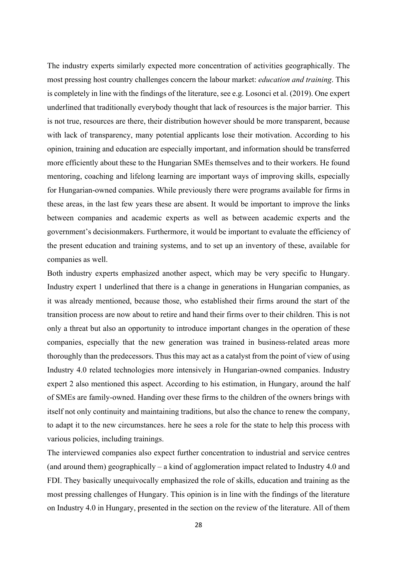The industry experts similarly expected more concentration of activities geographically. The most pressing host country challenges concern the labour market: *education and training*. This is completely in line with the findings of the literature, see e.g. Losonci et al. (2019). One expert underlined that traditionally everybody thought that lack of resources is the major barrier. This is not true, resources are there, their distribution however should be more transparent, because with lack of transparency, many potential applicants lose their motivation. According to his opinion, training and education are especially important, and information should be transferred more efficiently about these to the Hungarian SMEs themselves and to their workers. He found mentoring, coaching and lifelong learning are important ways of improving skills, especially for Hungarian-owned companies. While previously there were programs available for firms in these areas, in the last few years these are absent. It would be important to improve the links between companies and academic experts as well as between academic experts and the government's decisionmakers. Furthermore, it would be important to evaluate the efficiency of the present education and training systems, and to set up an inventory of these, available for companies as well.

Both industry experts emphasized another aspect, which may be very specific to Hungary. Industry expert 1 underlined that there is a change in generations in Hungarian companies, as it was already mentioned, because those, who established their firms around the start of the transition process are now about to retire and hand their firms over to their children. This is not only a threat but also an opportunity to introduce important changes in the operation of these companies, especially that the new generation was trained in business-related areas more thoroughly than the predecessors. Thus this may act as a catalyst from the point of view of using Industry 4.0 related technologies more intensively in Hungarian-owned companies. Industry expert 2 also mentioned this aspect. According to his estimation, in Hungary, around the half of SMEs are family-owned. Handing over these firms to the children of the owners brings with itself not only continuity and maintaining traditions, but also the chance to renew the company, to adapt it to the new circumstances. here he sees a role for the state to help this process with various policies, including trainings.

The interviewed companies also expect further concentration to industrial and service centres (and around them) geographically – a kind of agglomeration impact related to Industry 4.0 and FDI. They basically unequivocally emphasized the role of skills, education and training as the most pressing challenges of Hungary. This opinion is in line with the findings of the literature on Industry 4.0 in Hungary, presented in the section on the review of the literature. All of them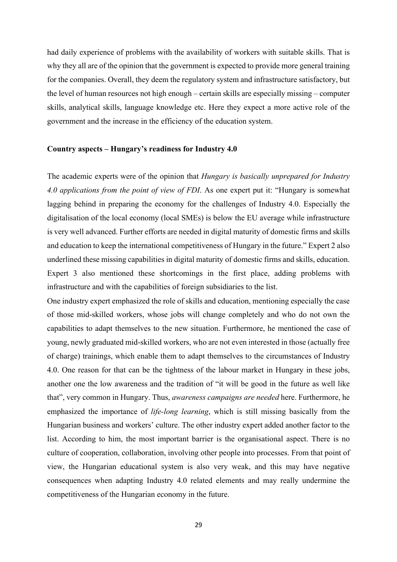had daily experience of problems with the availability of workers with suitable skills. That is why they all are of the opinion that the government is expected to provide more general training for the companies. Overall, they deem the regulatory system and infrastructure satisfactory, but the level of human resources not high enough – certain skills are especially missing – computer skills, analytical skills, language knowledge etc. Here they expect a more active role of the government and the increase in the efficiency of the education system.

#### **Country aspects – Hungary's readiness for Industry 4.0**

The academic experts were of the opinion that *Hungary is basically unprepared for Industry 4.0 applications from the point of view of FDI*. As one expert put it: "Hungary is somewhat lagging behind in preparing the economy for the challenges of Industry 4.0. Especially the digitalisation of the local economy (local SMEs) is below the EU average while infrastructure is very well advanced. Further efforts are needed in digital maturity of domestic firms and skills and education to keep the international competitiveness of Hungary in the future." Expert 2 also underlined these missing capabilities in digital maturity of domestic firms and skills, education. Expert 3 also mentioned these shortcomings in the first place, adding problems with infrastructure and with the capabilities of foreign subsidiaries to the list.

One industry expert emphasized the role of skills and education, mentioning especially the case of those mid-skilled workers, whose jobs will change completely and who do not own the capabilities to adapt themselves to the new situation. Furthermore, he mentioned the case of young, newly graduated mid-skilled workers, who are not even interested in those (actually free of charge) trainings, which enable them to adapt themselves to the circumstances of Industry 4.0. One reason for that can be the tightness of the labour market in Hungary in these jobs, another one the low awareness and the tradition of "it will be good in the future as well like that", very common in Hungary. Thus, *awareness campaigns are needed* here. Furthermore, he emphasized the importance of *life-long learning*, which is still missing basically from the Hungarian business and workers' culture. The other industry expert added another factor to the list. According to him, the most important barrier is the organisational aspect. There is no culture of cooperation, collaboration, involving other people into processes. From that point of view, the Hungarian educational system is also very weak, and this may have negative consequences when adapting Industry 4.0 related elements and may really undermine the competitiveness of the Hungarian economy in the future.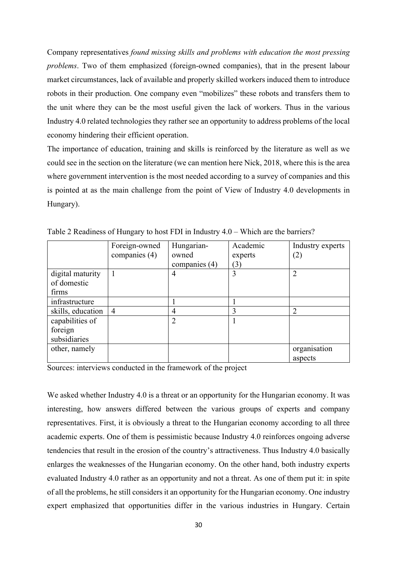Company representatives *found missing skills and problems with education the most pressing problems*. Two of them emphasized (foreign-owned companies), that in the present labour market circumstances, lack of available and properly skilled workers induced them to introduce robots in their production. One company even "mobilizes" these robots and transfers them to the unit where they can be the most useful given the lack of workers. Thus in the various Industry 4.0 related technologies they rather see an opportunity to address problems of the local economy hindering their efficient operation.

The importance of education, training and skills is reinforced by the literature as well as we could see in the section on the literature (we can mention here Nick, 2018, where this is the area where government intervention is the most needed according to a survey of companies and this is pointed at as the main challenge from the point of View of Industry 4.0 developments in Hungary).

|                   | Foreign-owned  | Hungarian-     | Academic | Industry experts |
|-------------------|----------------|----------------|----------|------------------|
|                   | companies (4)  | owned          | experts  | (2)              |
|                   |                | companies (4)  | (3)      |                  |
| digital maturity  |                | 4              | 3        | $\overline{2}$   |
| of domestic       |                |                |          |                  |
| firms             |                |                |          |                  |
| infrastructure    |                |                |          |                  |
| skills, education | $\overline{4}$ | 4              | 3        | າ                |
| capabilities of   |                | $\overline{2}$ |          |                  |
| foreign           |                |                |          |                  |
| subsidiaries      |                |                |          |                  |
| other, namely     |                |                |          | organisation     |
|                   |                |                |          | aspects          |

Table 2 Readiness of Hungary to host FDI in Industry 4.0 – Which are the barriers?

Sources: interviews conducted in the framework of the project

We asked whether Industry 4.0 is a threat or an opportunity for the Hungarian economy. It was interesting, how answers differed between the various groups of experts and company representatives. First, it is obviously a threat to the Hungarian economy according to all three academic experts. One of them is pessimistic because Industry 4.0 reinforces ongoing adverse tendencies that result in the erosion of the country's attractiveness. Thus Industry 4.0 basically enlarges the weaknesses of the Hungarian economy. On the other hand, both industry experts evaluated Industry 4.0 rather as an opportunity and not a threat. As one of them put it: in spite of all the problems, he still considers it an opportunity for the Hungarian economy. One industry expert emphasized that opportunities differ in the various industries in Hungary. Certain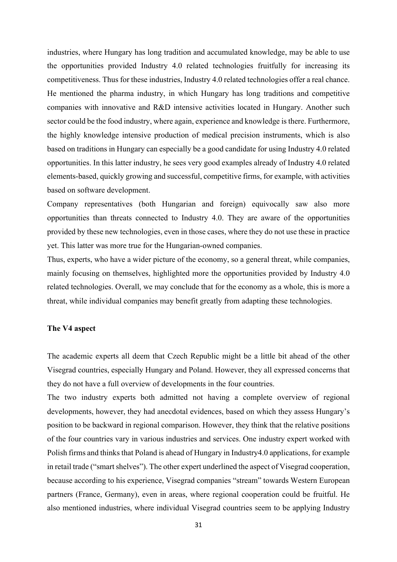industries, where Hungary has long tradition and accumulated knowledge, may be able to use the opportunities provided Industry 4.0 related technologies fruitfully for increasing its competitiveness. Thus for these industries, Industry 4.0 related technologies offer a real chance. He mentioned the pharma industry, in which Hungary has long traditions and competitive companies with innovative and R&D intensive activities located in Hungary. Another such sector could be the food industry, where again, experience and knowledge is there. Furthermore, the highly knowledge intensive production of medical precision instruments, which is also based on traditions in Hungary can especially be a good candidate for using Industry 4.0 related opportunities. In this latter industry, he sees very good examples already of Industry 4.0 related elements-based, quickly growing and successful, competitive firms, for example, with activities based on software development.

Company representatives (both Hungarian and foreign) equivocally saw also more opportunities than threats connected to Industry 4.0. They are aware of the opportunities provided by these new technologies, even in those cases, where they do not use these in practice yet. This latter was more true for the Hungarian-owned companies.

Thus, experts, who have a wider picture of the economy, so a general threat, while companies, mainly focusing on themselves, highlighted more the opportunities provided by Industry 4.0 related technologies. Overall, we may conclude that for the economy as a whole, this is more a threat, while individual companies may benefit greatly from adapting these technologies.

## **The V4 aspect**

The academic experts all deem that Czech Republic might be a little bit ahead of the other Visegrad countries, especially Hungary and Poland. However, they all expressed concerns that they do not have a full overview of developments in the four countries.

The two industry experts both admitted not having a complete overview of regional developments, however, they had anecdotal evidences, based on which they assess Hungary's position to be backward in regional comparison. However, they think that the relative positions of the four countries vary in various industries and services. One industry expert worked with Polish firms and thinks that Poland is ahead of Hungary in Industry4.0 applications, for example in retail trade ("smart shelves"). The other expert underlined the aspect of Visegrad cooperation, because according to his experience, Visegrad companies "stream" towards Western European partners (France, Germany), even in areas, where regional cooperation could be fruitful. He also mentioned industries, where individual Visegrad countries seem to be applying Industry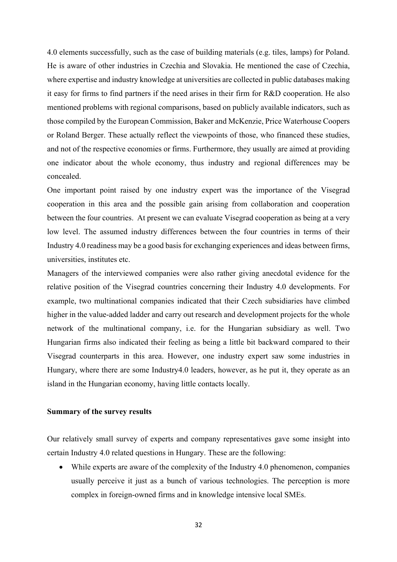4.0 elements successfully, such as the case of building materials (e.g. tiles, lamps) for Poland. He is aware of other industries in Czechia and Slovakia. He mentioned the case of Czechia, where expertise and industry knowledge at universities are collected in public databases making it easy for firms to find partners if the need arises in their firm for R&D cooperation. He also mentioned problems with regional comparisons, based on publicly available indicators, such as those compiled by the European Commission, Baker and McKenzie, Price Waterhouse Coopers or Roland Berger. These actually reflect the viewpoints of those, who financed these studies, and not of the respective economies or firms. Furthermore, they usually are aimed at providing one indicator about the whole economy, thus industry and regional differences may be concealed.

One important point raised by one industry expert was the importance of the Visegrad cooperation in this area and the possible gain arising from collaboration and cooperation between the four countries. At present we can evaluate Visegrad cooperation as being at a very low level. The assumed industry differences between the four countries in terms of their Industry 4.0 readiness may be a good basis for exchanging experiences and ideas between firms, universities, institutes etc.

Managers of the interviewed companies were also rather giving anecdotal evidence for the relative position of the Visegrad countries concerning their Industry 4.0 developments. For example, two multinational companies indicated that their Czech subsidiaries have climbed higher in the value-added ladder and carry out research and development projects for the whole network of the multinational company, i.e. for the Hungarian subsidiary as well. Two Hungarian firms also indicated their feeling as being a little bit backward compared to their Visegrad counterparts in this area. However, one industry expert saw some industries in Hungary, where there are some Industry4.0 leaders, however, as he put it, they operate as an island in the Hungarian economy, having little contacts locally.

#### **Summary of the survey results**

Our relatively small survey of experts and company representatives gave some insight into certain Industry 4.0 related questions in Hungary. These are the following:

• While experts are aware of the complexity of the Industry 4.0 phenomenon, companies usually perceive it just as a bunch of various technologies. The perception is more complex in foreign-owned firms and in knowledge intensive local SMEs.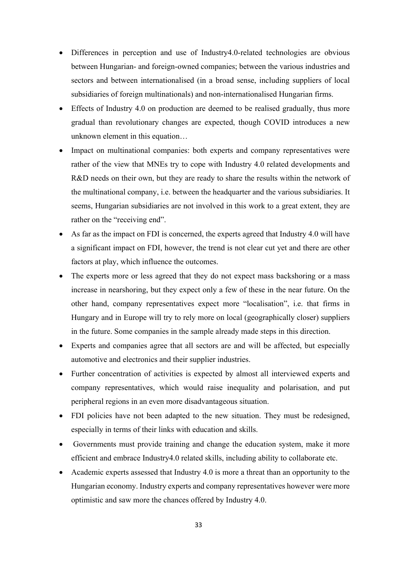- Differences in perception and use of Industry4.0-related technologies are obvious between Hungarian- and foreign-owned companies; between the various industries and sectors and between internationalised (in a broad sense, including suppliers of local subsidiaries of foreign multinationals) and non-internationalised Hungarian firms.
- Effects of Industry 4.0 on production are deemed to be realised gradually, thus more gradual than revolutionary changes are expected, though COVID introduces a new unknown element in this equation…
- Impact on multinational companies: both experts and company representatives were rather of the view that MNEs try to cope with Industry 4.0 related developments and R&D needs on their own, but they are ready to share the results within the network of the multinational company, i.e. between the headquarter and the various subsidiaries. It seems, Hungarian subsidiaries are not involved in this work to a great extent, they are rather on the "receiving end".
- As far as the impact on FDI is concerned, the experts agreed that Industry 4.0 will have a significant impact on FDI, however, the trend is not clear cut yet and there are other factors at play, which influence the outcomes.
- The experts more or less agreed that they do not expect mass backshoring or a mass increase in nearshoring, but they expect only a few of these in the near future. On the other hand, company representatives expect more "localisation", i.e. that firms in Hungary and in Europe will try to rely more on local (geographically closer) suppliers in the future. Some companies in the sample already made steps in this direction.
- Experts and companies agree that all sectors are and will be affected, but especially automotive and electronics and their supplier industries.
- Further concentration of activities is expected by almost all interviewed experts and company representatives, which would raise inequality and polarisation, and put peripheral regions in an even more disadvantageous situation.
- FDI policies have not been adapted to the new situation. They must be redesigned, especially in terms of their links with education and skills.
- Governments must provide training and change the education system, make it more efficient and embrace Industry4.0 related skills, including ability to collaborate etc.
- Academic experts assessed that Industry 4.0 is more a threat than an opportunity to the Hungarian economy. Industry experts and company representatives however were more optimistic and saw more the chances offered by Industry 4.0.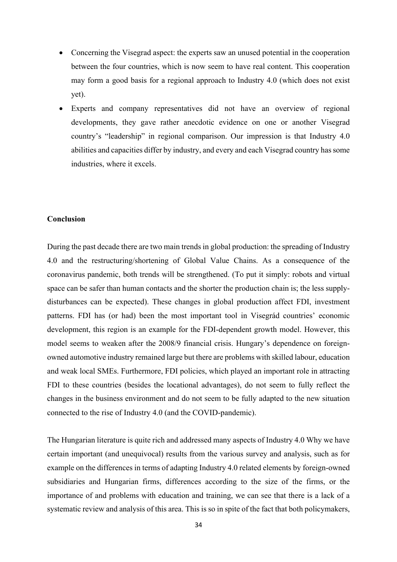- Concerning the Visegrad aspect: the experts saw an unused potential in the cooperation between the four countries, which is now seem to have real content. This cooperation may form a good basis for a regional approach to Industry 4.0 (which does not exist yet).
- Experts and company representatives did not have an overview of regional developments, they gave rather anecdotic evidence on one or another Visegrad country's "leadership" in regional comparison. Our impression is that Industry 4.0 abilities and capacities differ by industry, and every and each Visegrad country has some industries, where it excels.

## **Conclusion**

During the past decade there are two main trends in global production: the spreading of Industry 4.0 and the restructuring/shortening of Global Value Chains. As a consequence of the coronavirus pandemic, both trends will be strengthened. (To put it simply: robots and virtual space can be safer than human contacts and the shorter the production chain is; the less supplydisturbances can be expected). These changes in global production affect FDI, investment patterns. FDI has (or had) been the most important tool in Visegrád countries' economic development, this region is an example for the FDI-dependent growth model. However, this model seems to weaken after the 2008/9 financial crisis. Hungary's dependence on foreignowned automotive industry remained large but there are problems with skilled labour, education and weak local SMEs. Furthermore, FDI policies, which played an important role in attracting FDI to these countries (besides the locational advantages), do not seem to fully reflect the changes in the business environment and do not seem to be fully adapted to the new situation connected to the rise of Industry 4.0 (and the COVID-pandemic).

The Hungarian literature is quite rich and addressed many aspects of Industry 4.0 Why we have certain important (and unequivocal) results from the various survey and analysis, such as for example on the differences in terms of adapting Industry 4.0 related elements by foreign-owned subsidiaries and Hungarian firms, differences according to the size of the firms, or the importance of and problems with education and training, we can see that there is a lack of a systematic review and analysis of this area. This is so in spite of the fact that both policymakers,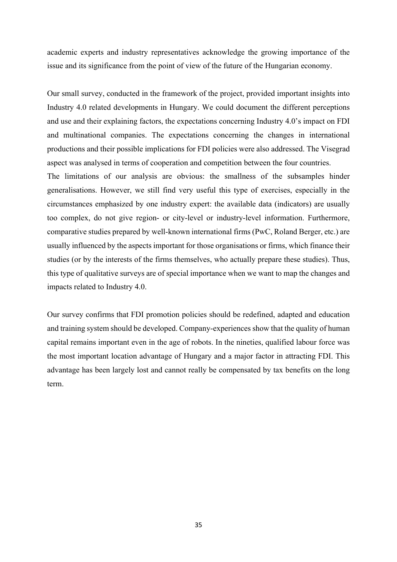academic experts and industry representatives acknowledge the growing importance of the issue and its significance from the point of view of the future of the Hungarian economy.

Our small survey, conducted in the framework of the project, provided important insights into Industry 4.0 related developments in Hungary. We could document the different perceptions and use and their explaining factors, the expectations concerning Industry 4.0's impact on FDI and multinational companies. The expectations concerning the changes in international productions and their possible implications for FDI policies were also addressed. The Visegrad aspect was analysed in terms of cooperation and competition between the four countries.

The limitations of our analysis are obvious: the smallness of the subsamples hinder generalisations. However, we still find very useful this type of exercises, especially in the circumstances emphasized by one industry expert: the available data (indicators) are usually too complex, do not give region- or city-level or industry-level information. Furthermore, comparative studies prepared by well-known international firms (PwC, Roland Berger, etc.) are usually influenced by the aspects important for those organisations or firms, which finance their studies (or by the interests of the firms themselves, who actually prepare these studies). Thus, this type of qualitative surveys are of special importance when we want to map the changes and impacts related to Industry 4.0.

Our survey confirms that FDI promotion policies should be redefined, adapted and education and training system should be developed. Company-experiences show that the quality of human capital remains important even in the age of robots. In the nineties, qualified labour force was the most important location advantage of Hungary and a major factor in attracting FDI. This advantage has been largely lost and cannot really be compensated by tax benefits on the long term.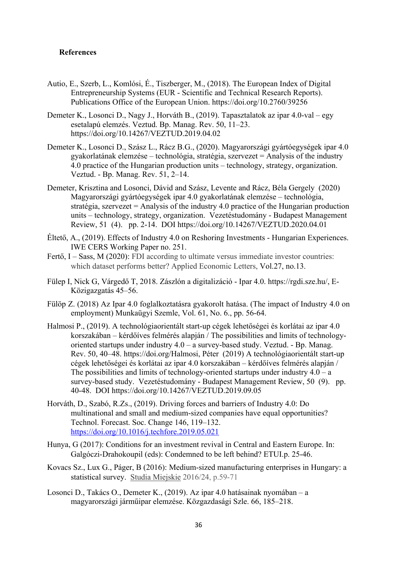## **References**

- Autio, E., Szerb, L., Komlósi, É., Tiszberger, M., (2018). The European Index of Digital Entrepreneurship Systems (EUR - Scientific and Technical Research Reports). Publications Office of the European Union. https://doi.org/10.2760/39256
- Demeter K., Losonci D., Nagy J., Horváth B., (2019). Tapasztalatok az ipar 4.0-val egy esetalapú elemzés. Veztud. Bp. Manag. Rev. 50, 11–23. https://doi.org/10.14267/VEZTUD.2019.04.02
- Demeter K., Losonci D., Szász L., Rácz B.G., (2020). Magyarországi gyártóegységek ipar 4.0 gyakorlatának elemzése – technológia, stratégia, szervezet = Analysis of the industry 4.0 practice of the Hungarian production units – technology, strategy, organization. Veztud. - Bp. Manag. Rev. 51, 2–14.
- Demeter, Krisztina and Losonci, Dávid and Szász, Levente and Rácz, Béla Gergely (2020) Magyarországi gyártóegységek ipar 4.0 gyakorlatának elemzése – technológia, stratégia, szervezet = Analysis of the industry 4.0 practice of the Hungarian production units – technology, strategy, organization. Vezetéstudomány - Budapest Management Review, 51 (4). pp. 2-14. DOI https://doi.org/10.14267/VEZTUD.2020.04.01
- Éltető, A., (2019). Effects of Industry 4.0 on Reshoring Investments Hungarian Experiences. IWE CERS Working Paper no. 251.
- Fertő, I Sass, M (2020): FDI according to ultimate versus immediate investor countries: which dataset performs better? Applied Economic Letters, Vol.27, no.13.
- Fülep I, Nick G, Várgedő T, 2018. Zászlón a digitalizáció Ipar 4.0. https://rgdi.sze.hu/, E-Közigazgatás 45–56.
- Fülöp Z. (2018) Az Ipar 4.0 foglalkoztatásra gyakorolt hatása. (The impact of Industry 4.0 on employment) Munkaügyi Szemle, Vol. 61, No. 6., pp. 56-64.
- Halmosi P., (2019). A technológiaorientált start-up cégek lehetőségei és korlátai az ipar 4.0 korszakában – kérdőíves felmérés alapján / The possibilities and limits of technologyoriented startups under industry 4.0 – a survey-based study. Veztud. - Bp. Manag. Rev. 50, 40–48. https://doi.org/Halmosi, Péter (2019) A technológiaorientált start-up cégek lehetőségei és korlátai az ipar 4.0 korszakában – kérdőíves felmérés alapján / The possibilities and limits of technology-oriented startups under industry  $4.0 - a$ survey-based study. Vezetéstudomány - Budapest Management Review, 50 (9). pp. 40-48. DOI https://doi.org/10.14267/VEZTUD.2019.09.05
- Horváth, D., Szabó, R.Zs., (2019). Driving forces and barriers of Industry 4.0: Do multinational and small and medium-sized companies have equal opportunities? Technol. Forecast. Soc. Change 146, 119–132. https://doi.org/10.1016/j.techfore.2019.05.021
- Hunya, G (2017): Conditions for an investment revival in Central and Eastern Europe. In: Galgóczi-Drahokoupil (eds): Condemned to be left behind? ETUI.p. 25-46.
- Kovacs Sz., Lux G., Páger, B (2016): Medium-sized manufacturing enterprises in Hungary: a statistical survey. Studia Miejskie 2016/24, p.59-71
- Losonci D., Takács O., Demeter K., (2019). Az ipar 4.0 hatásainak nyomában a magyarországi járműipar elemzése. Közgazdasági Szle. 66, 185–218.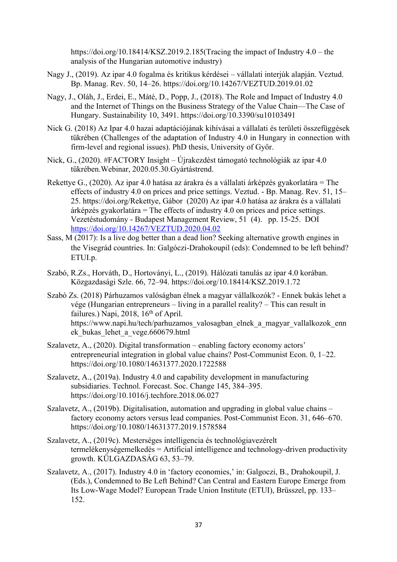https://doi.org/10.18414/KSZ.2019.2.185(Tracing the impact of Industry 4.0 – the analysis of the Hungarian automotive industry)

- Nagy J., (2019). Az ipar 4.0 fogalma és kritikus kérdései vállalati interjúk alapján. Veztud. Bp. Manag. Rev. 50, 14–26. https://doi.org/10.14267/VEZTUD.2019.01.02
- Nagy, J., Oláh, J., Erdei, E., Máté, D., Popp, J., (2018). The Role and Impact of Industry 4.0 and the Internet of Things on the Business Strategy of the Value Chain—The Case of Hungary. Sustainability 10, 3491. https://doi.org/10.3390/su10103491
- Nick G. (2018) Az Ipar 4.0 hazai adaptációjának kihívásai a vállalati és területi összefüggések tükrében (Challenges of the adaptation of Industry 4.0 in Hungary in connection with firm-level and regional issues). PhD thesis, University of Győr.
- Nick, G., (2020). #FACTORY Insight Újrakezdést támogató technológiák az ipar 4.0 tükrében.Webinar, 2020.05.30.Gyártástrend.
- Rekettye G., (2020). Az ipar 4.0 hatása az árakra és a vállalati árképzés gyakorlatára = The effects of industry 4.0 on prices and price settings. Veztud. - Bp. Manag. Rev. 51, 15– 25. https://doi.org/Rekettye, Gábor (2020) Az ipar 4.0 hatása az árakra és a vállalati árképzés gyakorlatára = The effects of industry  $\overline{4.0}$  on prices and price settings. Vezetéstudomány - Budapest Management Review, 51 (4). pp. 15-25. DOI https://doi.org/10.14267/VEZTUD.2020.04.02
- Sass, M (2017): Is a live dog better than a dead lion? Seeking alternative growth engines in the Visegrád countries. In: Galgóczi-Drahokoupil (eds): Condemned to be left behind? ETUI.p.
- Szabó, R.Zs., Horváth, D., Hortoványi, L., (2019). Hálózati tanulás az ipar 4.0 korában. Közgazdasági Szle. 66, 72–94. https://doi.org/10.18414/KSZ.2019.1.72
- Szabó Zs. (2018) Párhuzamos valóságban élnek a magyar vállalkozók? Ennek bukás lehet a vége (Hungarian entrepreneurs – living in a parallel reality? – This can result in failures.) Napi, 2018,  $16<sup>th</sup>$  of April. https://www.napi.hu/tech/parhuzamos\_valosagban\_elnek\_a\_magyar\_vallalkozok\_enn ek\_bukas\_lehet\_a\_vege.660679.html
- Szalavetz, A., (2020). Digital transformation enabling factory economy actors' entrepreneurial integration in global value chains? Post-Communist Econ. 0, 1–22. https://doi.org/10.1080/14631377.2020.1722588
- Szalavetz, A., (2019a). Industry 4.0 and capability development in manufacturing subsidiaries. Technol. Forecast. Soc. Change 145, 384–395. https://doi.org/10.1016/j.techfore.2018.06.027
- Szalavetz, A., (2019b). Digitalisation, automation and upgrading in global value chains factory economy actors versus lead companies. Post-Communist Econ. 31, 646–670. https://doi.org/10.1080/14631377.2019.1578584
- Szalavetz, A., (2019c). Mesterséges intelligencia és technológiavezérelt termelékenységemelkedés = Artificial intelligence and technology-driven productivity growth. KÜLGAZDASÁG 63, 53–79.
- Szalavetz, A., (2017). Industry 4.0 in 'factory economies,' in: Galgoczi, B., Drahokoupil, J. (Eds.), Condemned to Be Left Behind? Can Central and Eastern Europe Emerge from Its Low-Wage Model? European Trade Union Institute (ETUI), Brüsszel, pp. 133– 152.